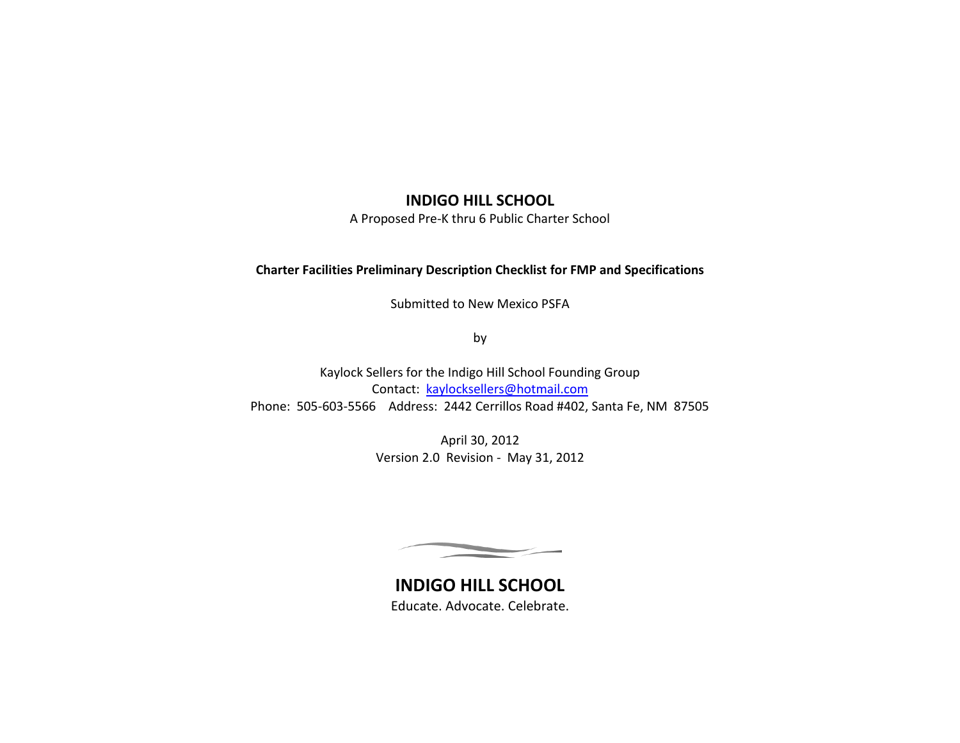# **INDIGO HILL SCHOOL**

A Proposed Pre-K thru 6 Public Charter School

# **Charter Facilities Preliminary Description Checklist for FMP and Specifications**

Submitted to New Mexico PSFA

by

Kaylock Sellers for the Indigo Hill School Founding Group Contact: [kaylocksellers@hotmail.com](mailto:kaylocksellers@hotmail.com) Phone: 505-603-5566 Address: 2442 Cerrillos Road #402, Santa Fe, NM 87505

> April 30, 2012 Version 2.0 Revision - May 31, 2012

**INDIGO HILL SCHOOL** Educate. Advocate. Celebrate.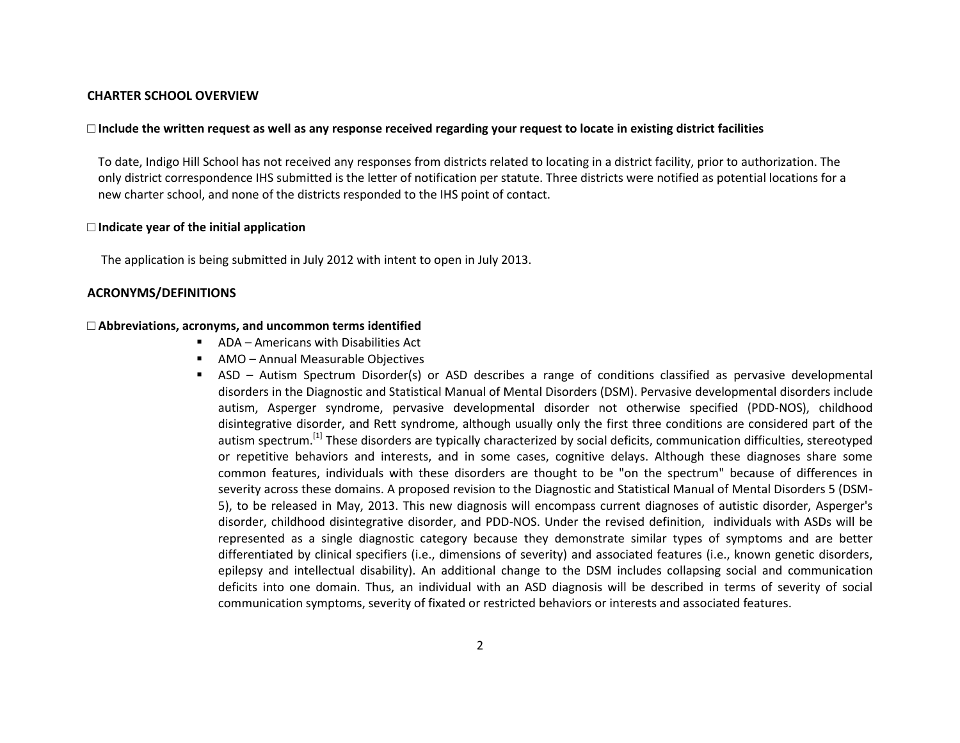### **CHARTER SCHOOL OVERVIEW**

#### **□ Include the written request as well as any response received regarding your request to locate in existing district facilities**

To date, Indigo Hill School has not received any responses from districts related to locating in a district facility, prior to authorization. The only district correspondence IHS submitted is the letter of notification per statute. Three districts were notified as potential locations for a new charter school, and none of the districts responded to the IHS point of contact.

#### **□ Indicate year of the initial application**

The application is being submitted in July 2012 with intent to open in July 2013.

### **ACRONYMS/DEFINITIONS**

### **□ Abbreviations, acronyms, and uncommon terms identified**

- ADA Americans with Disabilities Act
- AMO Annual Measurable Objectives
- ASD Autism Spectrum Disorder(s) or ASD describes a range of conditions classified as [pervasive developmental](http://en.wikipedia.org/wiki/Pervasive_developmental_disorder)  [disorders](http://en.wikipedia.org/wiki/Pervasive_developmental_disorder) in th[e Diagnostic and Statistical Manual of Mental Disorders](http://en.wikipedia.org/wiki/Diagnostic_and_Statistical_Manual_of_Mental_Disorders) (DSM). Pervasive developmental disorders include [autism,](http://en.wikipedia.org/wiki/Autism) [Asperger syndrome,](http://en.wikipedia.org/wiki/Asperger_syndrome) [pervasive developmental disorder not otherwise specified](http://en.wikipedia.org/wiki/PDD-NOS) (PDD-NOS), [childhood](http://en.wikipedia.org/wiki/Childhood_disintegrative_disorder)  [disintegrative disorder,](http://en.wikipedia.org/wiki/Childhood_disintegrative_disorder) and [Rett syndrome,](http://en.wikipedia.org/wiki/Rett_syndrome) although usually only the first three conditions are considered part of the autism spectrum.<sup>[\[1\]](http://en.wikipedia.org/wiki/Autism_spectrum#cite_note-Johnson-0)</sup> These disorders are typically characterized by social deficits, communication difficulties, stereotyped or repetitive behaviors and interests, and in some cases, cognitive delays. Although these diagnoses share some common features, individuals with these disorders are thought to be "on the spectrum" because of differences in severity across these domains. A proposed revision to the Diagnostic and Statistical Manual of Mental Disorders 5 (DSM-5), to be released in May, 2013. This new diagnosis will encompass current diagnoses of autistic disorder, Asperger's disorder, childhood disintegrative disorder, and PDD-NOS. Under the revised definition, individuals with ASDs will be represented as a single diagnostic category because they demonstrate similar types of symptoms and are better differentiated by clinical specifiers (i.e., dimensions of severity) and associated features (i.e., known genetic disorders, epilepsy and intellectual disability). An additional change to the DSM includes collapsing social and communication deficits into one domain. Thus, an individual with an ASD diagnosis will be described in terms of severity of social communication symptoms, severity of fixated or restricted behaviors or interests and associated features.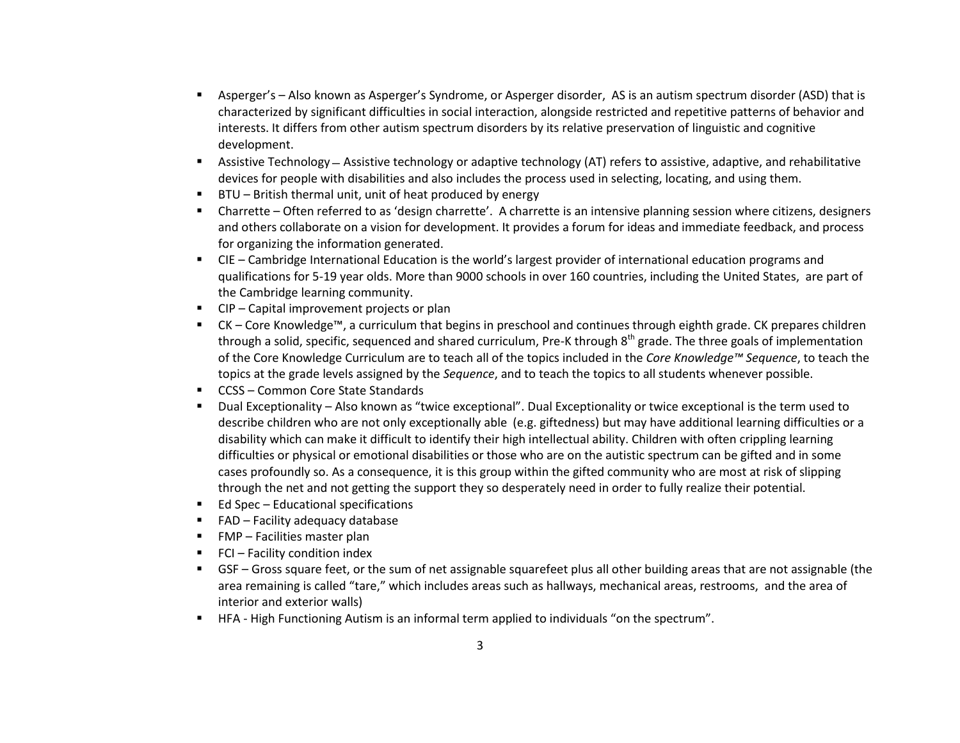- Asperger's Also known as Asperger's Syndrome, or Asperger disorder, AS is an [autism spectrum](http://en.wikipedia.org/wiki/Autism_spectrum) disorder (ASD) that is characterized by significant difficulties in social interaction, alongside restricted and repetitive patterns of behavior and interests. It differs from other autism spectrum disorders by its relative preservation of [linguistic](http://en.wikipedia.org/wiki/Language_development) an[d cognitive](http://en.wikipedia.org/wiki/Cognitive_development)  [development.](http://en.wikipedia.org/wiki/Cognitive_development)
- Assistive Technology Assistive technology or adaptive technology (AT) refers to assistive, adaptive, and rehabilitative devices for [people with disabilities](http://en.wikipedia.org/wiki/Disability) and also includes the process used in selecting, locating, and using them.
- BTU British thermal unit, unit of heat produced by energy
- Charrette Often referred to as 'design charrette'. A charrette is an intensive planning session where citizens, designers and others collaborate on a vision for development. It provides a forum for ideas and immediate feedback, and process for organizing the information generated.
- CIE Cambridge International Education is the world's largest provider of international education programs and qualifications for 5-19 year olds. More than 9000 schools in over 160 countries, including the United States, are part of the Cambridge learning community.
- CIP Capital improvement projects or plan
- CK Core Knowledge™, a curriculum that begins in preschool and continues through eighth grade. CK prepares children through a solid, specific, sequenced and shared curriculum, Pre-K through 8<sup>th</sup> grade. The three goals of implementation of the Core Knowledge Curriculum are to teach all of the topics included in the *Core Knowledge™ Sequence*, to teach the topics at the grade levels assigned by the *Sequence*, and to teach the topics to all students whenever possible.
- CCSS Common Core State Standards
- Dual Exceptionality Also known as "twice exceptional". Dual Exceptionality or twice exceptional is the term used to describe children who are not only exceptionally able (e.g. giftedness) but may have additional learning difficulties or a disability which can make it difficult to identify their high intellectual ability. Children with often crippling learning difficulties or physical or emotional disabilities or those who are on the autistic spectrum can be gifted and in some cases profoundly so. As a consequence, it is this group within the gifted community who are most at risk of slipping through the net and not getting the support they so desperately need in order to fully realize their potential.
- $\blacksquare$  Ed Spec Educational specifications
- $\blacksquare$  FAD Facility adequacy database
- $\blacksquare$  FMP Facilities master plan
- $\blacksquare$  FCI Facility condition index
- GSF Gross square feet, or the sum of net assignable squarefeet plus all other building areas that are not assignable (the area remaining is called "tare," which includes areas such as hallways, mechanical areas, restrooms, and the area of interior and exterior walls)
- HFA High Functioning Autism is an informal term applied to individuals "on the spectrum".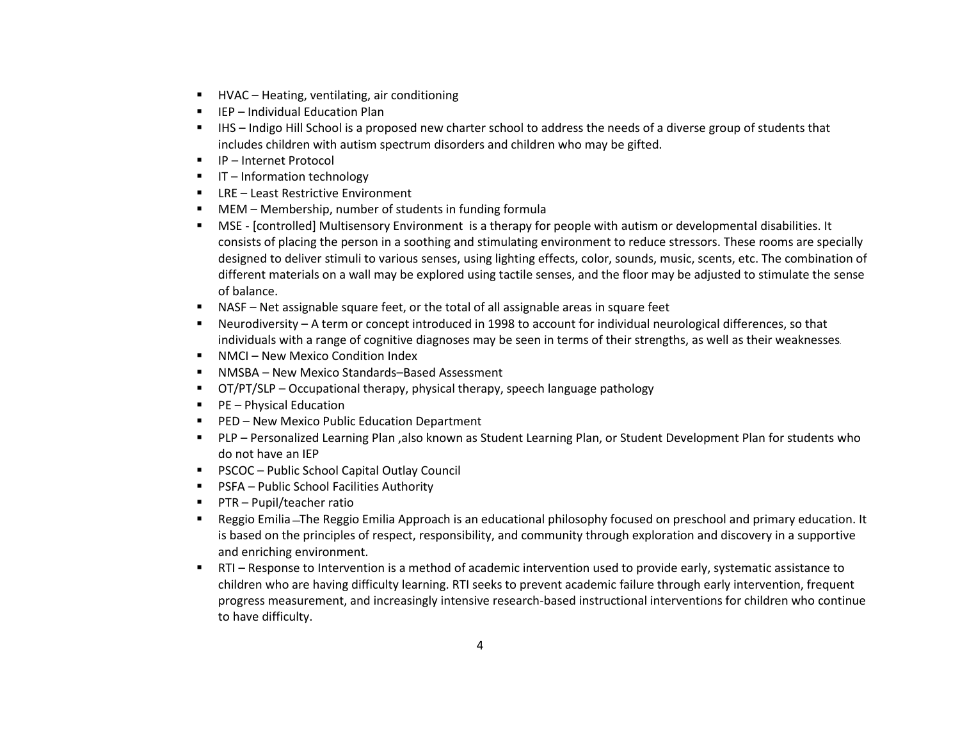- HVAC Heating, ventilating, air conditioning
- IEP Individual Education Plan
- IHS Indigo Hill School is a proposed new charter school to address the needs of a diverse group of students that includes children with autism spectrum disorders and children who may be gifted.
- IP Internet Protocol
- $\blacksquare$  IT Information technology
- LRE Least Restrictive Environment
- MEM Membership, number of students in funding formula
- MSE [\[controlled\] Multisensory Environment](http://en.wikipedia.org/w/index.php?title=Controlled_multisensory_Environment_(MSE)&action=edit&redlink=1) is a therapy for people wit[h autism](http://en.wikipedia.org/wiki/Autism) o[r developmental disabilities.](http://en.wikipedia.org/wiki/Developmental_disability) It consists of placing the person in a soothing and stimulating environment to reduce stressors. These rooms are specially designed to deliver stimuli to various [senses,](http://en.wikipedia.org/wiki/Senses) using lighting effects, color, sounds, music, scents, etc. The combination of different materials on a wall may be explored using tactile senses, and the floor may be adjusted to stimulate th[e sense](http://en.wikipedia.org/wiki/Sense_of_balance)  [of balance.](http://en.wikipedia.org/wiki/Sense_of_balance)
- NASF Net assignable square feet, or the total of all assignable areas in square feet
- Neurodiversity A term or concept introduced in 1998 to account for individual neurological differences, so that individuals with a range of cognitive diagnoses may be seen in terms of their strengths, as well as their weaknesses.
- NMCI New Mexico Condition Index
- NMSBA New Mexico Standards–Based Assessment
- OT/PT/SLP Occupational therapy, physical therapy, speech language pathology
- $\blacksquare$  PE Physical Education
- **PED New Mexico Public Education Department**
- PLP Personalized Learning Plan ,also known as Student Learning Plan, or Student Development Plan for students who do not have an IEP
- PSCOC Public School Capital Outlay Council
- **PSFA** Public School Facilities Authority
- **PTR** Pupil/teacher ratio
- Reggio Emilia The Reggio Emilia Approach is an educational philosophy focused on [preschool](http://en.wikipedia.org/wiki/Preschool) and [primary education.](http://en.wikipedia.org/wiki/Primary_education) It is based on the principles of respect, responsibility, and community through exploration and discovery in a supportive and enriching environment.
- RTI Response to Intervention is a method of academic intervention used to provide early, systematic assistance to children who are having difficulty learning. RTI seeks to prevent academic failure through early intervention, frequent progress measurement, and increasingly intensive research-based instructional interventions for children who continue to have difficulty.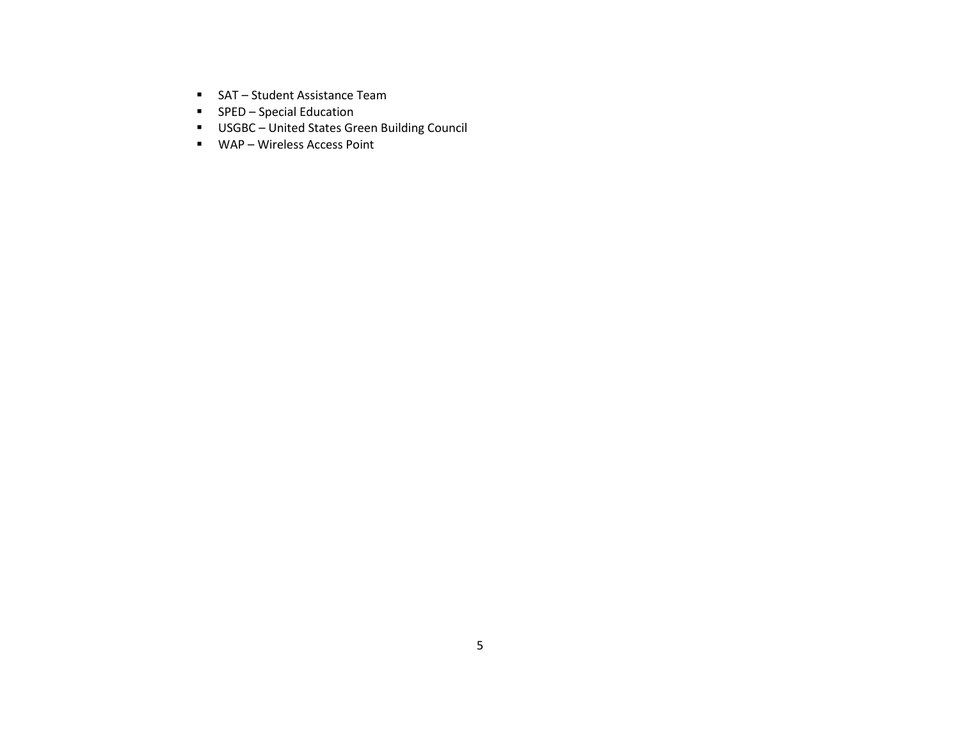- SAT Student Assistance Team
- **F** SPED Special Education
- USGBC United States Green Building Council
- WAP Wireless Access Point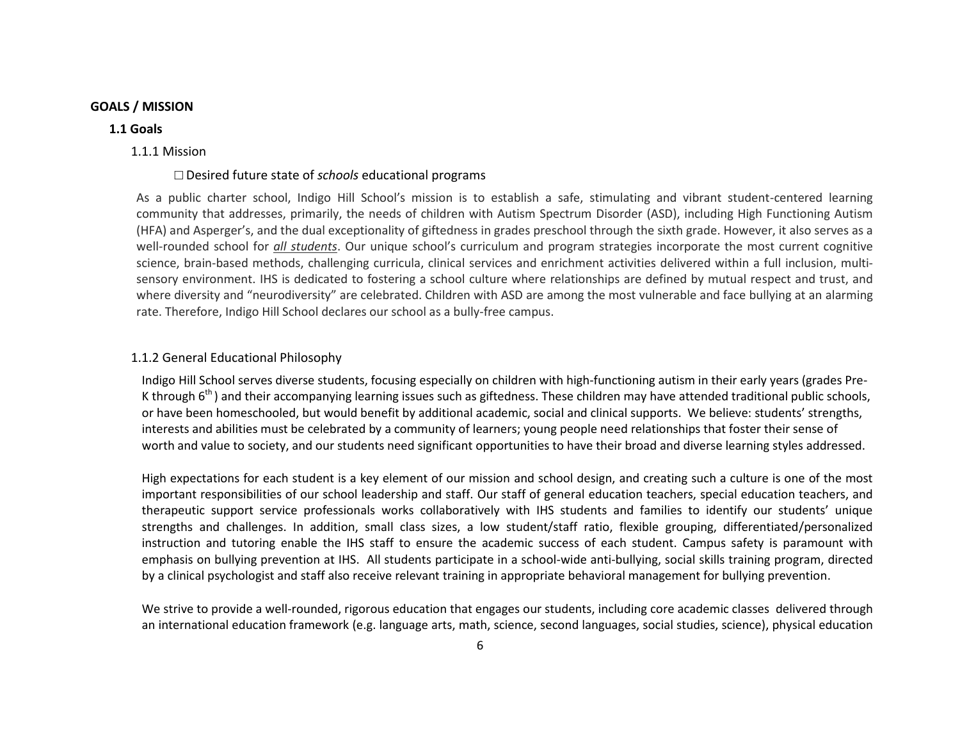#### **GOALS / MISSION**

#### **1.1 Goals**

#### 1.1.1 Mission

#### □ Desired future state of *schools* educational programs

As a public charter school, Indigo Hill School's mission is to establish a safe, stimulating and vibrant student-centered learning community that addresses, primarily, the needs of children with Autism Spectrum Disorder (ASD), including High Functioning Autism (HFA) and Asperger's, and the dual exceptionality of giftedness in grades preschool through the sixth grade. However, it also serves as a well-rounded school for *all students*. Our unique school's curriculum and program strategies incorporate the most current cognitive science, brain-based methods, challenging curricula, clinical services and enrichment activities delivered within a full inclusion, multisensory environment. IHS is dedicated to fostering a school culture where relationships are defined by mutual respect and trust, and where diversity and "neurodiversity" are celebrated. Children with ASD are among the most vulnerable and face bullying at an alarming rate. Therefore, Indigo Hill School declares our school as a bully-free campus.

#### 1.1.2 General Educational Philosophy

Indigo Hill School serves diverse students, focusing especially on children with high-functioning autism in their early years (grades Pre-K through  $6<sup>th</sup>$ ) and their accompanying learning issues such as giftedness. These children may have attended traditional public schools, or have been homeschooled, but would benefit by additional academic, social and clinical supports. We believe: students' strengths, interests and abilities must be celebrated by a community of learners; young people need relationships that foster their sense of worth and value to society, and our students need significant opportunities to have their broad and diverse learning styles addressed.

High expectations for each student is a key element of our mission and school design, and creating such a culture is one of the most important responsibilities of our school leadership and staff. Our staff of general education teachers, special education teachers, and therapeutic support service professionals works collaboratively with IHS students and families to identify our students' unique strengths and challenges. In addition, small class sizes, a low student/staff ratio, flexible grouping, differentiated/personalized instruction and tutoring enable the IHS staff to ensure the academic success of each student. Campus safety is paramount with emphasis on bullying prevention at IHS. All students participate in a school-wide anti-bullying, social skills training program, directed by a clinical psychologist and staff also receive relevant training in appropriate behavioral management for bullying prevention.

We strive to provide a well-rounded, rigorous education that engages our students, including core academic classes delivered through an international education framework (e.g. language arts, math, science, second languages, social studies, science), physical education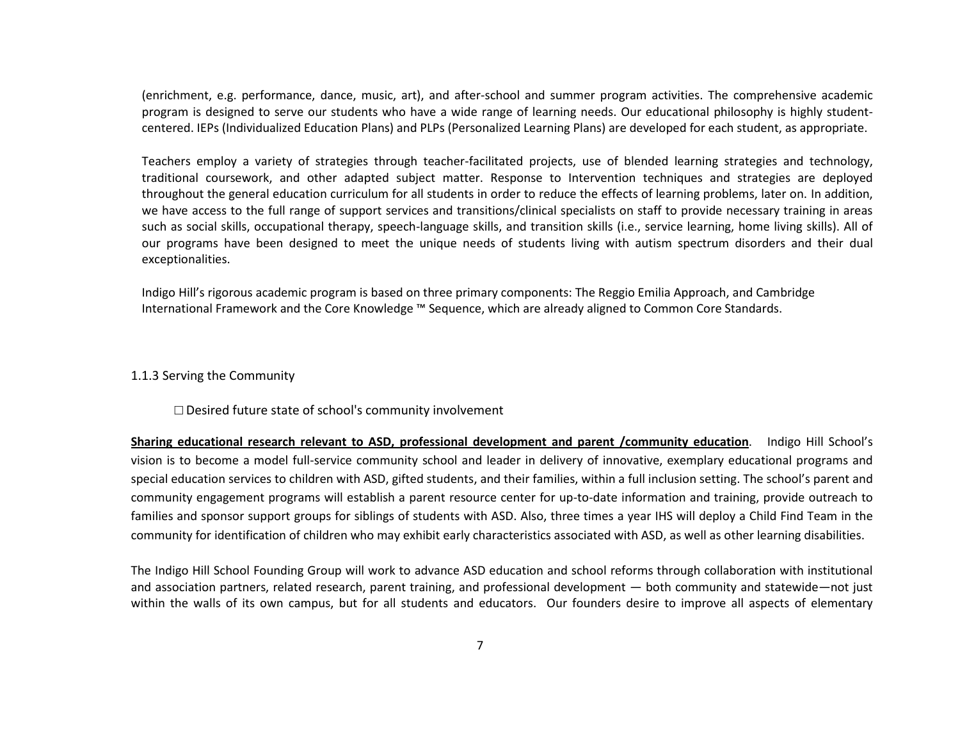(enrichment, e.g. performance, dance, music, art), and after-school and summer program activities. The comprehensive academic program is designed to serve our students who have a wide range of learning needs. Our educational philosophy is highly studentcentered. IEPs (Individualized Education Plans) and PLPs (Personalized Learning Plans) are developed for each student, as appropriate.

Teachers employ a variety of strategies through teacher-facilitated projects, use of blended learning strategies and technology, traditional coursework, and other adapted subject matter. Response to Intervention techniques and strategies are deployed throughout the general education curriculum for all students in order to reduce the effects of learning problems, later on. In addition, we have access to the full range of support services and transitions/clinical specialists on staff to provide necessary training in areas such as social skills, occupational therapy, speech-language skills, and transition skills (i.e., service learning, home living skills). All of our programs have been designed to meet the unique needs of students living with autism spectrum disorders and their dual exceptionalities.

Indigo Hill's rigorous academic program is based on three primary components: The Reggio Emilia Approach, and Cambridge International Framework and the Core Knowledge ™ Sequence, which are already aligned to Common Core Standards.

#### 1.1.3 Serving the Community

□ Desired future state of school's community involvement

**Sharing educational research relevant to ASD, professional development and parent /community education**. Indigo Hill School's vision is to become a model full-service community school and leader in delivery of innovative, exemplary educational programs and special education services to children with ASD, gifted students, and their families, within a full inclusion setting. The school's parent and community engagement programs will establish a parent resource center for up-to-date information and training, provide outreach to families and sponsor support groups for siblings of students with ASD. Also, three times a year IHS will deploy a Child Find Team in the community for identification of children who may exhibit early characteristics associated with ASD, as well as other learning disabilities.

The Indigo Hill School Founding Group will work to advance ASD education and school reforms through collaboration with institutional and association partners, related research, parent training, and professional development — both community and statewide—not just within the walls of its own campus, but for all students and educators. Our founders desire to improve all aspects of elementary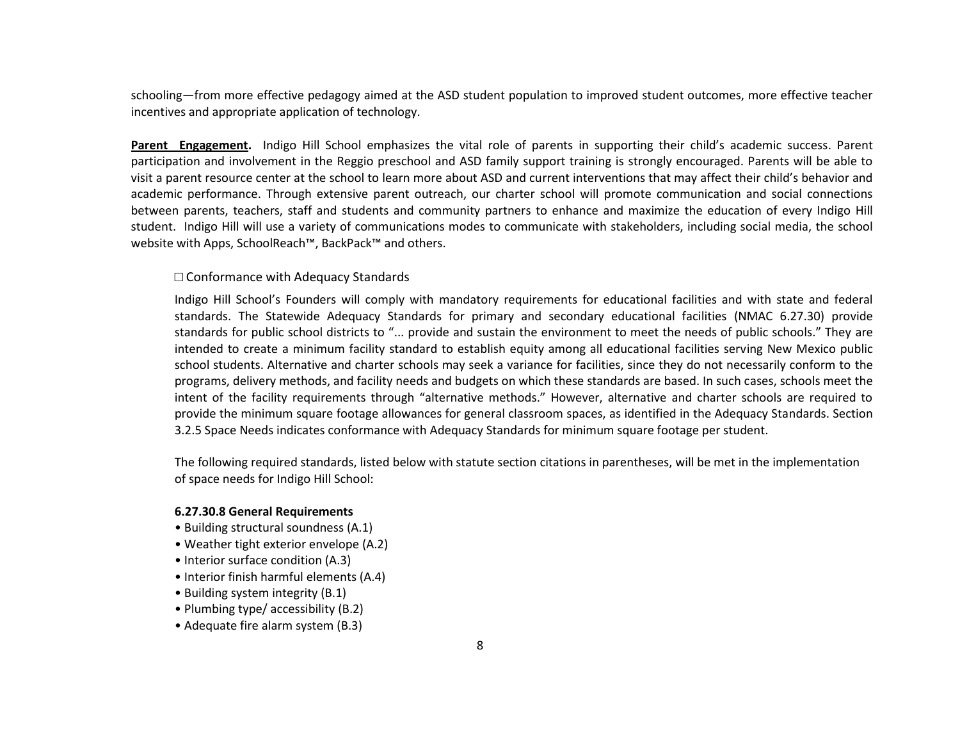schooling—from more effective pedagogy aimed at the ASD student population to improved student outcomes, more effective teacher incentives and appropriate application of technology.

**Parent Engagement.** Indigo Hill School emphasizes the vital role of parents in supporting their child's academic success. Parent participation and involvement in the Reggio preschool and ASD family support training is strongly encouraged. Parents will be able to visit a parent resource center at the school to learn more about ASD and current interventions that may affect their child's behavior and academic performance. Through extensive parent outreach, our charter school will promote communication and social connections between parents, teachers, staff and students and community partners to enhance and maximize the education of every Indigo Hill student. Indigo Hill will use a variety of communications modes to communicate with stakeholders, including social media, the school website with Apps, SchoolReach™, BackPack™ and others.

### □ Conformance with Adequacy Standards

Indigo Hill School's Founders will comply with mandatory requirements for educational facilities and with state and federal standards. The Statewide Adequacy Standards for primary and secondary educational facilities (NMAC 6.27.30) provide standards for public school districts to "... provide and sustain the environment to meet the needs of public schools." They are intended to create a minimum facility standard to establish equity among all educational facilities serving New Mexico public school students. Alternative and charter schools may seek a variance for facilities, since they do not necessarily conform to the programs, delivery methods, and facility needs and budgets on which these standards are based. In such cases, schools meet the intent of the facility requirements through "alternative methods." However, alternative and charter schools are required to provide the minimum square footage allowances for general classroom spaces, as identified in the Adequacy Standards. Section 3.2.5 Space Needs indicates conformance with Adequacy Standards for minimum square footage per student.

The following required standards, listed below with statute section citations in parentheses, will be met in the implementation of space needs for Indigo Hill School:

#### **6.27.30.8 General Requirements**

- Building structural soundness (A.1)
- Weather tight exterior envelope (A.2)
- Interior surface condition (A.3)
- Interior finish harmful elements (A.4)
- Building system integrity (B.1)
- Plumbing type/ accessibility (B.2)
- Adequate fire alarm system (B.3)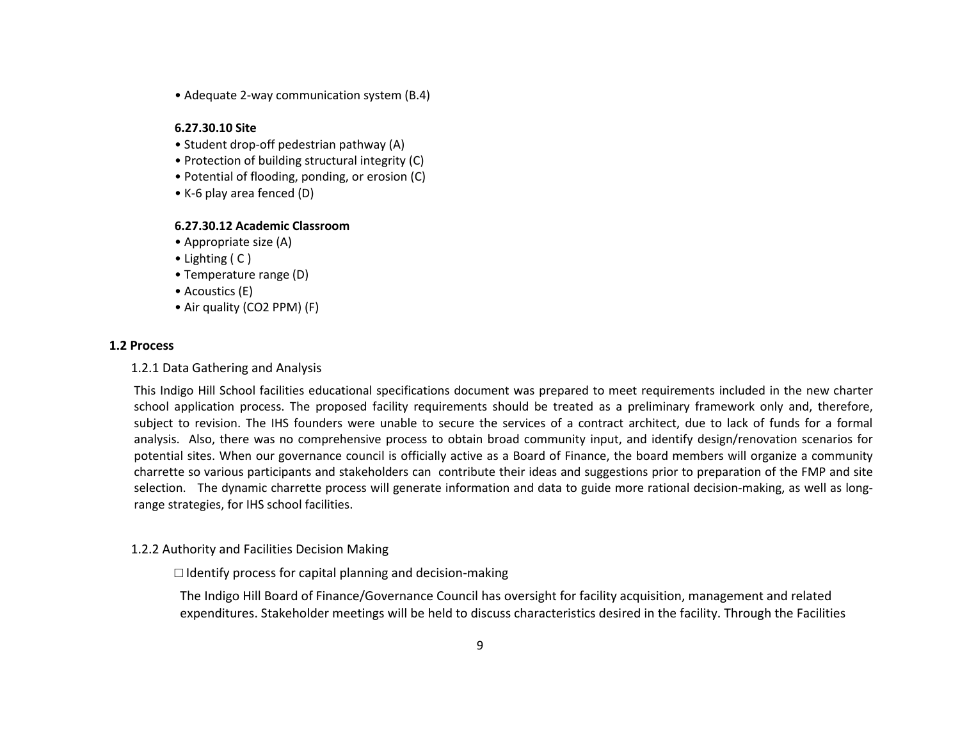• Adequate 2-way communication system (B.4)

## **6.27.30.10 Site**

- Student drop-off pedestrian pathway (A)
- Protection of building structural integrity (C)
- Potential of flooding, ponding, or erosion (C)
- K-6 play area fenced (D)

### **6.27.30.12 Academic Classroom**

- Appropriate size (A)
- Lighting ( C )
- Temperature range (D)
- Acoustics (E)
- Air quality (CO2 PPM) (F)

### **1.2 Process**

### 1.2.1 Data Gathering and Analysis

This Indigo Hill School facilities educational specifications document was prepared to meet requirements included in the new charter school application process. The proposed facility requirements should be treated as a preliminary framework only and, therefore, subject to revision. The IHS founders were unable to secure the services of a contract architect, due to lack of funds for a formal analysis. Also, there was no comprehensive process to obtain broad community input, and identify design/renovation scenarios for potential sites. When our governance council is officially active as a Board of Finance, the board members will organize a community charrette so various participants and stakeholders can contribute their ideas and suggestions prior to preparation of the FMP and site selection. The dynamic charrette process will generate information and data to guide more rational decision-making, as well as longrange strategies, for IHS school facilities.

## 1.2.2 Authority and Facilities Decision Making

## $\Box$  Identify process for capital planning and decision-making

The Indigo Hill Board of Finance/Governance Council has oversight for facility acquisition, management and related expenditures. Stakeholder meetings will be held to discuss characteristics desired in the facility. Through the Facilities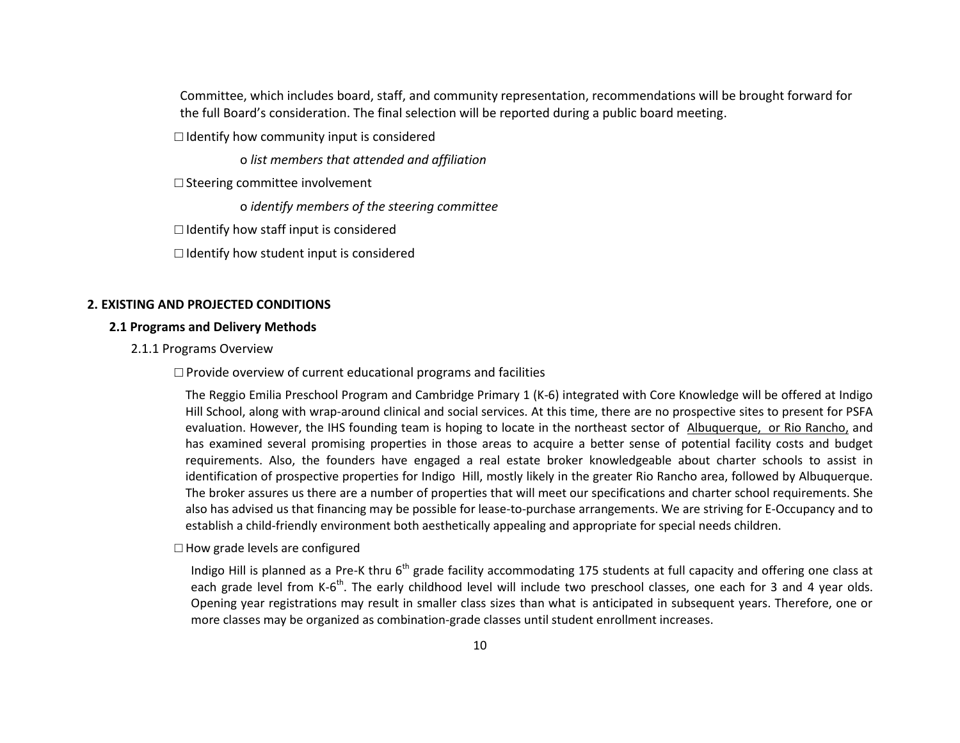Committee, which includes board, staff, and community representation, recommendations will be brought forward for the full Board's consideration. The final selection will be reported during a public board meeting.

 $\Box$  Identify how community input is considered

o *list members that attended and affiliation* 

 $\square$  Steering committee involvement

o *identify members of the steering committee* 

 $\Box$  Identify how staff input is considered

 $\Box$  Identify how student input is considered

## **2. EXISTING AND PROJECTED CONDITIONS**

### **2.1 Programs and Delivery Methods**

2.1.1 Programs Overview

 $\Box$  Provide overview of current educational programs and facilities

The Reggio Emilia Preschool Program and Cambridge Primary 1 (K-6) integrated with Core Knowledge will be offered at Indigo Hill School, along with wrap-around clinical and social services. At this time, there are no prospective sites to present for PSFA evaluation. However, the IHS founding team is hoping to locate in the northeast sector of Albuquerque, or Rio Rancho, and has examined several promising properties in those areas to acquire a better sense of potential facility costs and budget requirements. Also, the founders have engaged a real estate broker knowledgeable about charter schools to assist in identification of prospective properties for Indigo Hill, mostly likely in the greater Rio Rancho area, followed by Albuquerque. The broker assures us there are a number of properties that will meet our specifications and charter school requirements. She also has advised us that financing may be possible for lease-to-purchase arrangements. We are striving for E-Occupancy and to establish a child-friendly environment both aesthetically appealing and appropriate for special needs children.

 $\square$  How grade levels are configured

Indigo Hill is planned as a Pre-K thru 6<sup>th</sup> grade facility accommodating 175 students at full capacity and offering one class at each grade level from K-6<sup>th</sup>. The early childhood level will include two preschool classes, one each for 3 and 4 year olds. Opening year registrations may result in smaller class sizes than what is anticipated in subsequent years. Therefore, one or more classes may be organized as combination-grade classes until student enrollment increases.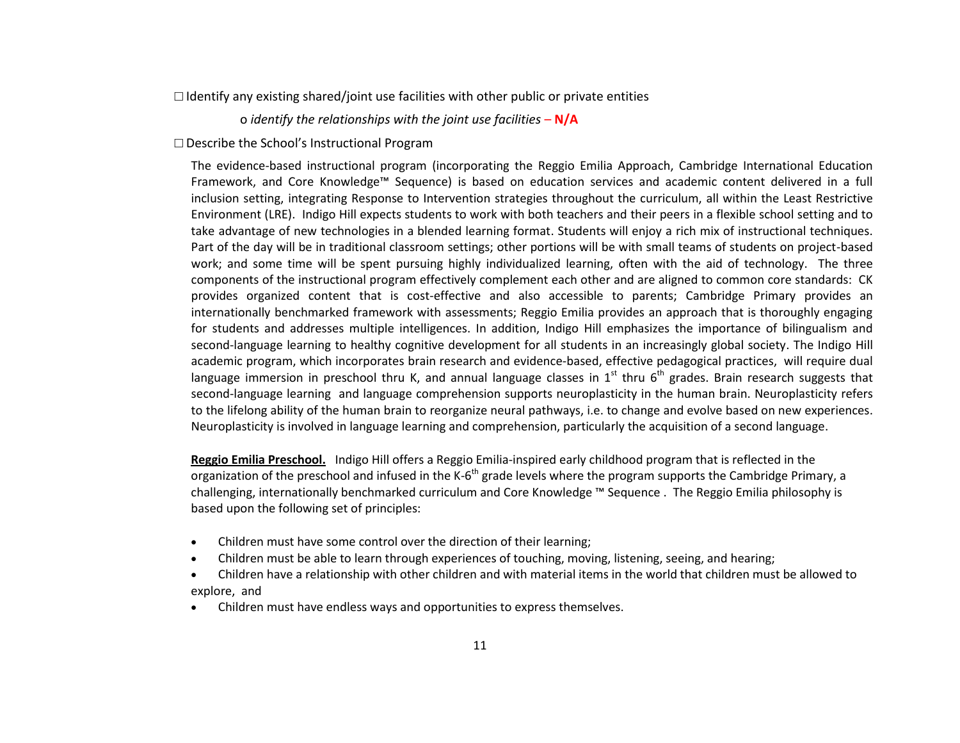$\Box$  Identify any existing shared/joint use facilities with other public or private entities

o *identify the relationships with the joint use facilities* – **N/A**

□ Describe the School's Instructional Program

The evidence-based instructional program (incorporating the Reggio Emilia Approach, Cambridge International Education Framework, and Core Knowledge™ Sequence) is based on education services and academic content delivered in a full inclusion setting, integrating Response to Intervention strategies throughout the curriculum, all within the Least Restrictive Environment (LRE). Indigo Hill expects students to work with both teachers and their peers in a flexible school setting and to take advantage of new technologies in a blended learning format. Students will enjoy a rich mix of instructional techniques. Part of the day will be in traditional classroom settings; other portions will be with small teams of students on project-based work; and some time will be spent pursuing highly individualized learning, often with the aid of technology. The three components of the instructional program effectively complement each other and are aligned to common core standards: CK provides organized content that is cost-effective and also accessible to parents; Cambridge Primary provides an internationally benchmarked framework with assessments; Reggio Emilia provides an approach that is thoroughly engaging for students and addresses multiple intelligences. In addition, Indigo Hill emphasizes the importance of bilingualism and second-language learning to healthy cognitive development for all students in an increasingly global society. The Indigo Hill academic program, which incorporates brain research and evidence-based, effective pedagogical practices, will require dual language immersion in preschool thru K, and annual language classes in 1<sup>st</sup> thru 6<sup>th</sup> grades. Brain research suggests that second-language learning and language comprehension supports neuroplasticity in the human brain. Neuroplasticity refers to the lifelong ability of the human brain to reorganize neural pathways, i.e. to change and evolve based on new experiences. Neuroplasticity is involved in language learning and comprehension, particularly the acquisition of a second language.

**Reggio Emilia Preschool.** Indigo Hill offers a Reggio Emilia-inspired early childhood program that is reflected in the organization of the preschool and infused in the K-6<sup>th</sup> grade levels where the program supports the Cambridge Primary, a challenging, internationally benchmarked curriculum and Core Knowledge ™ Sequence . The Reggio Emilia philosophy is based upon the following set of principles:

- [Children](http://en.wikipedia.org/wiki/Child) must have some control over the direction of their learning;
- Children must be able to learn through experiences of touching, moving, listening, seeing, and hearing;
- Children have a [relationship](http://en.wikipedia.org/wiki/Interpersonal_relationship) with other children and with material items in the world that children must be allowed to explore, and
- Children must have endless ways and opportunities to express themselves.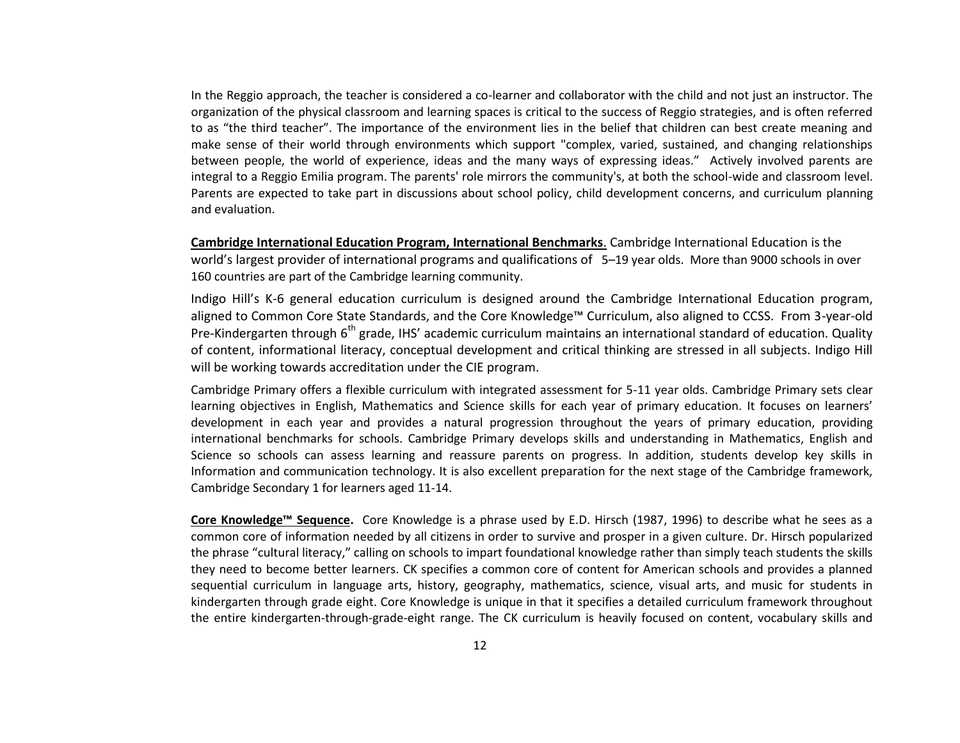In the Reggio approach, the teacher is considered a co-learner and collaborator with the child and not just an instructor. The organization of the physical classroom and learning spaces is critical to the success of Reggio strategies, and is often referred to as "the third teacher". The importance of the environment lies in the belief that children can best create meaning and make sense of their world through environments which support "complex, varied, sustained, and changing relationships between people, the world of experience, ideas and the many ways of expressing ideas." Actively involved parents are integral to a Reggio Emilia program. The parents' role mirrors the community's, at both the school-wide and classroom level. Parents are expected to take part in discussions about school policy, [child development](http://en.wikipedia.org/wiki/Child_development) concerns, and [curriculum](http://en.wikipedia.org/wiki/Curriculum) planning and evaluation.

**Cambridge International Education Program, International Benchmarks**. Cambridge International Education is the world's largest provider of international programs and qualifications of 5–19 year olds. More than 9000 schools in over 160 countries are part of the Cambridge learning community.

Indigo Hill's K-6 general education curriculum is designed around the Cambridge International Education program, aligned to Common Core State Standards, and the Core Knowledge™ Curriculum, also aligned to CCSS. From 3-year-old Pre-Kindergarten through  $6<sup>th</sup>$  grade, IHS' academic curriculum maintains an international standard of education. Quality of content, informational literacy, conceptual development and critical thinking are stressed in all subjects. Indigo Hill will be working towards accreditation under the CIE program.

Cambridge Primary offers a flexible curriculum with integrated assessment for 5-11 year olds. Cambridge Primary sets clear learning objectives in English, Mathematics and Science skills for each year of primary education. It focuses on learners' development in each year and provides a natural progression throughout the years of primary education, providing international benchmarks for schools. [Cambridge Primary](http://www.cie.org.uk/qualifications/academic/primary/cambridgeprimary/index_html) develops skills and understanding in Mathematics, English and Science so schools can assess learning and reassure parents on progress. In addition, students develop key skills in Information and communication technology. It is also excellent preparation for the next stage of the Cambridge framework, Cambridge Secondary 1 for learners aged 11-14.

**Core Knowledge™ Sequence.** Core Knowledge is a phrase used by E.D. Hirsch (1987, 1996) to describe what he sees as a common core of information needed by all citizens in order to survive and prosper in a given culture. Dr. Hirsch popularized the phrase "cultural literacy," calling on schools to impart foundational knowledge rather than simply teach students the skills they need to become better learners. CK specifies a common core of content for American schools and provides a planned sequential curriculum in language arts, history, geography, mathematics, science, visual arts, and music for students in kindergarten through grade eight. Core Knowledge is unique in that it specifies a detailed curriculum framework throughout the entire kindergarten-through-grade-eight range. The CK curriculum is heavily focused on content, vocabulary skills and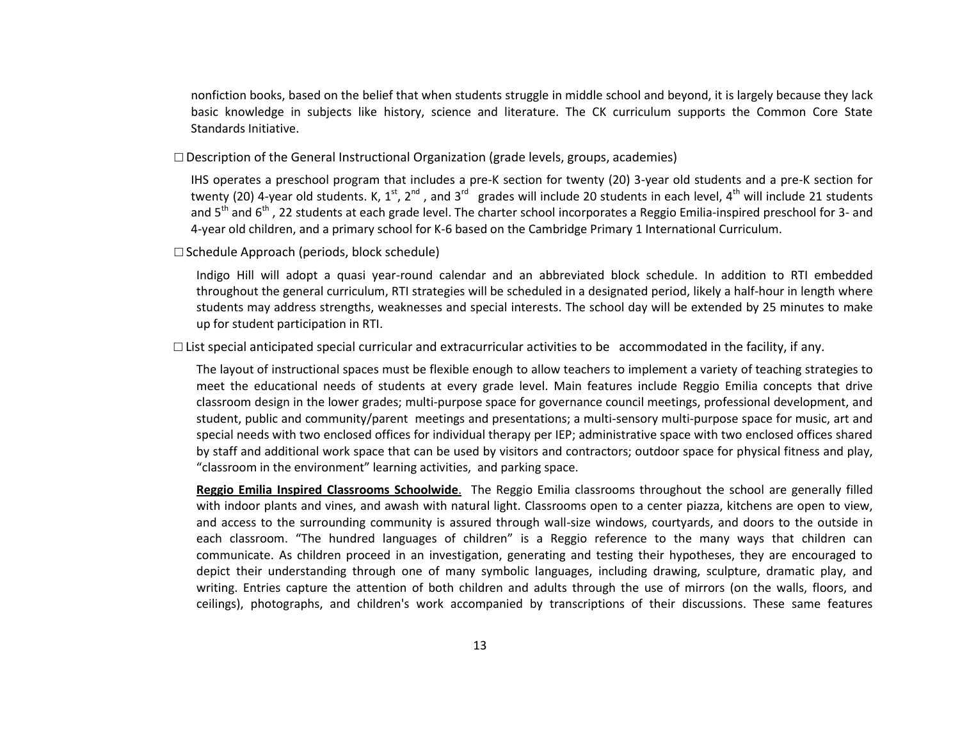nonfiction books, based on the belief that when students struggle in middle school and beyond, it is largely because they lack basic knowledge in subjects like history, science and literature. The CK curriculum supports the Common Core State Standards Initiative.

 $\square$  Description of the General Instructional Organization (grade levels, groups, academies)

IHS operates a preschool program that includes a pre-K section for twenty (20) 3-year old students and a pre-K section for twenty (20) 4-year old students. K,  $1^{st}$ ,  $2^{nd}$ , and  $3^{rd}$  grades will include 20 students in each level,  $4^{th}$  will include 21 students and 5<sup>th</sup> and 6<sup>th</sup>, 22 students at each grade level. The charter school incorporates a Reggio Emilia-inspired preschool for 3- and 4-year old children, and a primary school for K-6 based on the Cambridge Primary 1 International Curriculum.

□ Schedule Approach (periods, block schedule)

Indigo Hill will adopt a quasi year-round calendar and an abbreviated block schedule. In addition to RTI embedded throughout the general curriculum, RTI strategies will be scheduled in a designated period, likely a half-hour in length where students may address strengths, weaknesses and special interests. The school day will be extended by 25 minutes to make up for student participation in RTI.

 $\Box$  List special anticipated special curricular and extracurricular activities to be accommodated in the facility, if any.

The layout of instructional spaces must be flexible enough to allow teachers to implement a variety of teaching strategies to meet the educational needs of students at every grade level. Main features include Reggio Emilia concepts that drive classroom design in the lower grades; multi-purpose space for governance council meetings, professional development, and student, public and community/parent meetings and presentations; a multi-sensory multi-purpose space for music, art and special needs with two enclosed offices for individual therapy per IEP; administrative space with two enclosed offices shared by staff and additional work space that can be used by visitors and contractors; outdoor space for physical fitness and play, "classroom in the environment" learning activities, and parking space.

**Reggio Emilia Inspired Classrooms Schoolwide**. The Reggio Emilia classrooms throughout the school are generally filled with indoor plants and vines, and awash with natural light. Classrooms open to a center [piazza,](http://en.wikipedia.org/wiki/Piazza) kitchens are open to view, and access to the surrounding community is assured through wall-size windows, courtyards, and doors to the outside in each classroom. "The hundred languages of children" is a Reggio reference to the many ways that children can communicate. As children proceed in an investigation, generating and testing their hypotheses, they are encouraged to depict their understanding through one of many symbolic languages, including drawing, sculpture, dramatic play, and writing. Entries capture the attention of both children and adults through the use of mirrors (on the walls, floors, and ceilings), photographs, and children's work accompanied by transcriptions of their discussions. These same features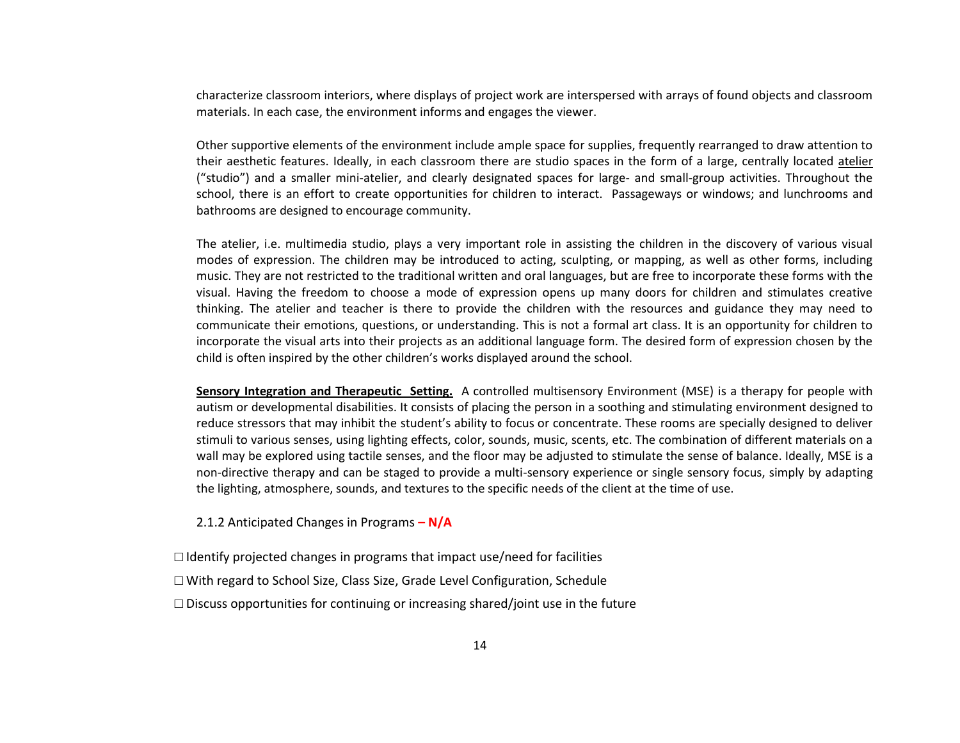characterize classroom interiors, where displays of project work are interspersed with arrays of found objects and classroom materials. In each case, the environment informs and engages the viewer.

Other supportive elements of the environment include ample space for supplies, frequently rearranged to draw attention to their aesthetic features. Ideally, in each classroom there are studio spaces in the form of a large, centrally located [atelier](http://en.wiktionary.org/wiki/atelier) ("studio") and a smaller mini-atelier, and clearly designated spaces for large- and small-group activities. Throughout the school, there is an effort to create opportunities for children to interact. Passageways or windows; and lunchrooms and bathrooms are designed to encourage community.

The atelier, i.e. multimedia studio, plays a very important role in assisting the children in the discovery of various visual modes of expression. The children may be introduced to acting, sculpting, or mapping, as well as other forms, including music. They are not restricted to the traditional written and oral languages, but are free to incorporate these forms with the visual. Having the freedom to choose a mode of expression opens up many doors for children and stimulates creative thinking. The atelier and teacher is there to provide the children with the resources and guidance they may need to communicate their emotions, questions, or understanding. This is not a formal art class. It is an opportunity for children to incorporate the visual arts into their projects as an additional language form. The desired form of expression chosen by the child is often inspired by the other children's works displayed around the school.

**Sensory Integration and Therapeutic Setting.** A [controlled multisensory Environment \(MSE\)](http://en.wikipedia.org/w/index.php?title=Controlled_multisensory_Environment_(MSE)&action=edit&redlink=1) is a therapy for people with [autism](http://en.wikipedia.org/wiki/Autism) or [developmental disabilities.](http://en.wikipedia.org/wiki/Developmental_disability) It consists of placing the person in a soothing and stimulating environment designed to reduce stressors that may inhibit the student's ability to focus or concentrate. These rooms are specially designed to deliver stimuli to various [senses,](http://en.wikipedia.org/wiki/Senses) using lighting effects, color, sounds, music, scents, etc. The combination of different materials on a wall may be explored using tactile senses, and the floor may be adjusted to stimulate the [sense of balance.](http://en.wikipedia.org/wiki/Sense_of_balance) Ideally, MSE is a non-directive therapy and can be staged to provide a multi-sensory experience or single sensory focus, simply by adapting the lighting, atmosphere, sounds, and textures to the specific needs of the client at the time of use.

2.1.2 Anticipated Changes in Programs **– N/A**

 $\Box$  Identify projected changes in programs that impact use/need for facilities □ With regard to School Size, Class Size, Grade Level Configuration, Schedule  $\square$  Discuss opportunities for continuing or increasing shared/joint use in the future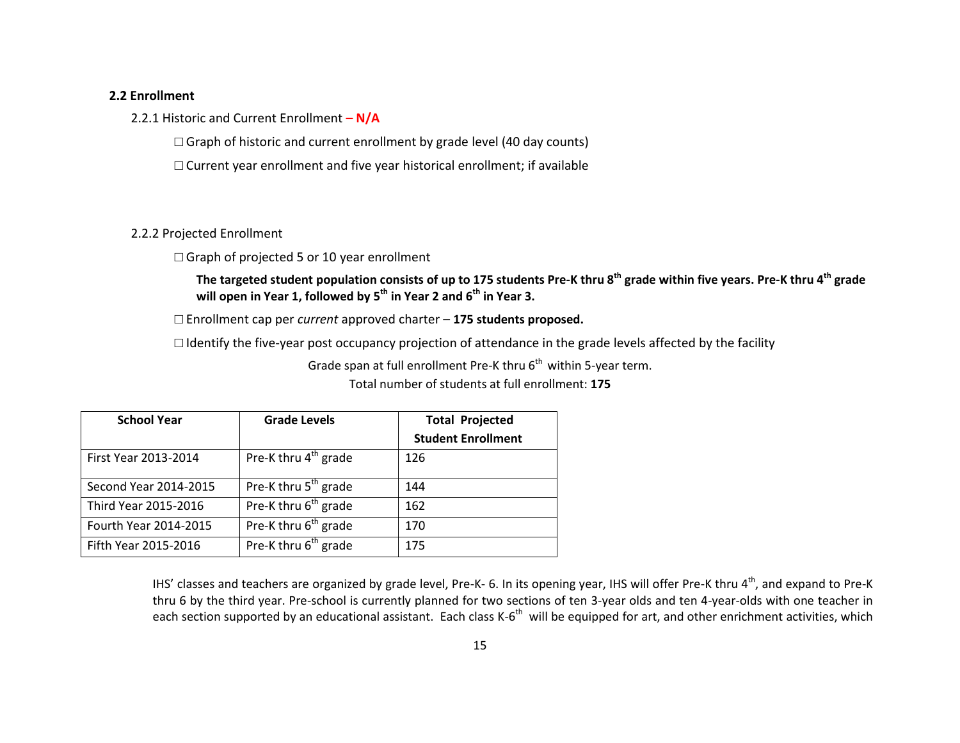## **2.2 Enrollment**

2.2.1 Historic and Current Enrollment **– N/A**

 $\Box$  Graph of historic and current enrollment by grade level (40 day counts)

□ Current year enrollment and five year historical enrollment; if available

# 2.2.2 Projected Enrollment

 $\Box$  Graph of projected 5 or 10 year enrollment

**The targeted student population consists of up to 175 students Pre-K thru 8th grade within five years. Pre-K thru 4th grade will open in Year 1, followed by 5th in Year 2 and 6th in Year 3.**

□ Enrollment cap per *current* approved charter – **175 students proposed.**

□ Identify the five-year post occupancy projection of attendance in the grade levels affected by the facility

Grade span at full enrollment Pre-K thru  $6<sup>th</sup>$  within 5-year term.

Total number of students at full enrollment: **175**

| <b>School Year</b>    | <b>Grade Levels</b>              | <b>Total Projected</b>    |
|-----------------------|----------------------------------|---------------------------|
|                       |                                  | <b>Student Enrollment</b> |
| First Year 2013-2014  | Pre-K thru 4 <sup>th</sup> grade | 126                       |
| Second Year 2014-2015 | Pre-K thru 5 <sup>th</sup> grade | 144                       |
| Third Year 2015-2016  | Pre-K thru 6 <sup>th</sup> grade | 162                       |
| Fourth Year 2014-2015 | Pre-K thru 6 <sup>th</sup> grade | 170                       |
| Fifth Year 2015-2016  | Pre-K thru 6 <sup>th</sup> grade | 175                       |

IHS' classes and teachers are organized by grade level, Pre-K- 6. In its opening year, IHS will offer Pre-K thru 4<sup>th</sup>, and expand to Pre-K thru 6 by the third year. Pre-school is currently planned for two sections of ten 3-year olds and ten 4-year-olds with one teacher in each section supported by an educational assistant. Each class K-6<sup>th</sup> will be equipped for art, and other enrichment activities, which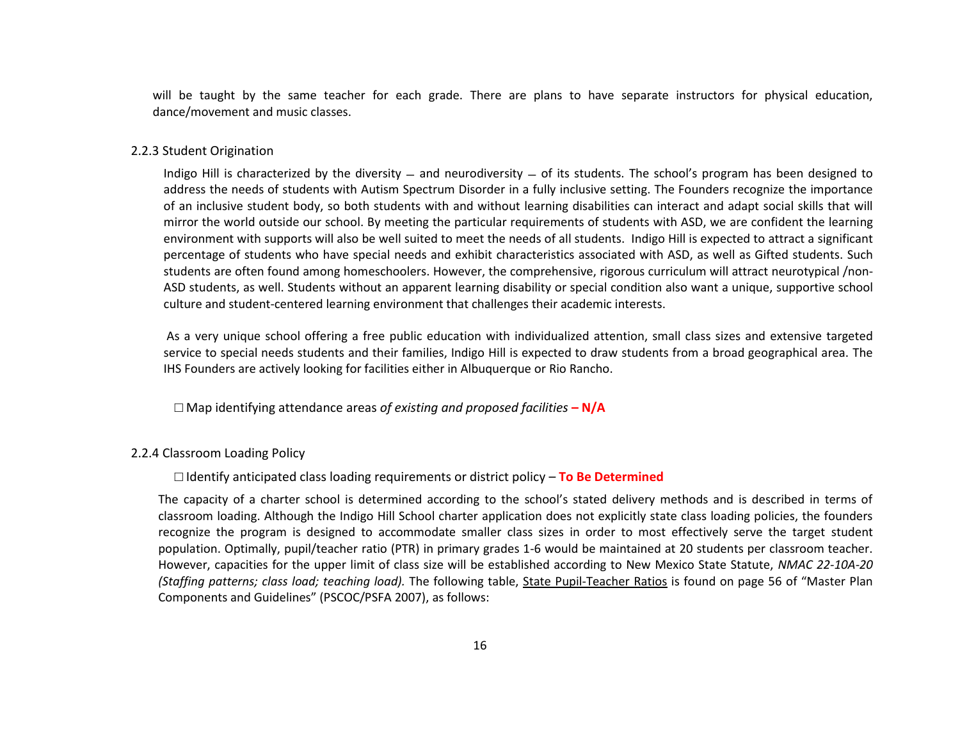will be taught by the same teacher for each grade. There are plans to have separate instructors for physical education, dance/movement and music classes.

#### 2.2.3 Student Origination

Indigo Hill is characterized by the diversity  $-$  and neurodiversity  $-$  of its students. The school's program has been designed to address the needs of students with Autism Spectrum Disorder in a fully inclusive setting. The Founders recognize the importance of an inclusive student body, so both students with and without learning disabilities can interact and adapt social skills that will mirror the world outside our school. By meeting the particular requirements of students with ASD, we are confident the learning environment with supports will also be well suited to meet the needs of all students. Indigo Hill is expected to attract a significant percentage of students who have special needs and exhibit characteristics associated with ASD, as well as Gifted students. Such students are often found among homeschoolers. However, the comprehensive, rigorous curriculum will attract neurotypical /non-ASD students, as well. Students without an apparent learning disability or special condition also want a unique, supportive school culture and student-centered learning environment that challenges their academic interests.

As a very unique school offering a free public education with individualized attention, small class sizes and extensive targeted service to special needs students and their families, Indigo Hill is expected to draw students from a broad geographical area. The IHS Founders are actively looking for facilities either in Albuquerque or Rio Rancho.

□ Map identifying attendance areas *of existing and proposed facilities* **– N/A**

#### 2.2.4 Classroom Loading Policy

□ Identify anticipated class loading requirements or district policy – **To Be Determined**

The capacity of a charter school is determined according to the school's stated delivery methods and is described in terms of classroom loading. Although the Indigo Hill School charter application does not explicitly state class loading policies, the founders recognize the program is designed to accommodate smaller class sizes in order to most effectively serve the target student population. Optimally, pupil/teacher ratio (PTR) in primary grades 1-6 would be maintained at 20 students per classroom teacher. However, capacities for the upper limit of class size will be established according to New Mexico State Statute, *NMAC 22-10A-20 (Staffing patterns; class load; teaching load).* The following table, State Pupil-Teacher Ratios is found on page 56 of "Master Plan Components and Guidelines" (PSCOC/PSFA 2007), as follows: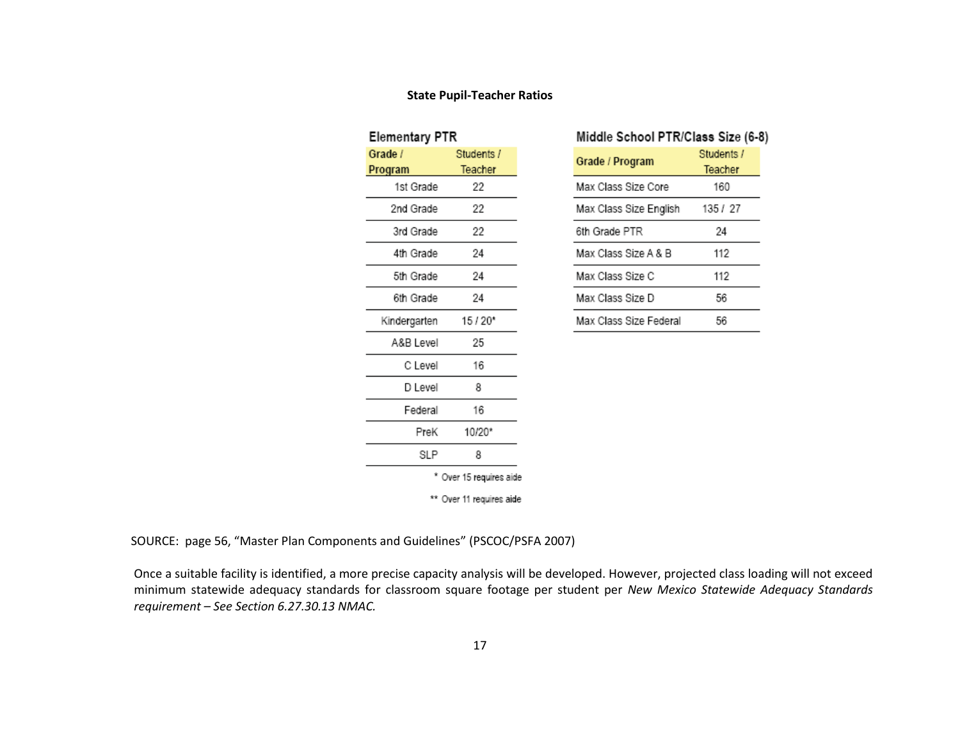# **State Pupil-Teacher Ratios**

| Elementary PTR |                          |
|----------------|--------------------------|
| Grade /        | Students /               |
| Program        | Teacher                  |
| 1st Grade      | 22                       |
| 2nd Grade      | 22                       |
| 3rd Grade      | 22                       |
| 4th Grade      | 24                       |
| 5th Grade      | 24                       |
| 6th Grade      | 24                       |
| Kindergarten   | $15/20*$                 |
| A&BIevel       | 25                       |
| C Level        | 16                       |
| D Level        | 8                        |
| Federal        | 16                       |
| PreK           | 10/20*                   |
| SLP            | 8                        |
|                | * Over 15 requires aide  |
|                | ** Over 11 requires aide |

| Middle School PTR/Class Size (6-8) |            |
|------------------------------------|------------|
| Grade / Program                    | Students / |
|                                    | Teacher    |
| Max Class Size Core                | 160        |
| Max Class Size English             | 135 / 27   |
| 6th Grade PTR                      | 24         |
| Max Class Size A & B               | 112        |
| Max Class Size C                   | 112        |
| Max Class Size D                   | 56         |
| Max Class Size Federal             | 56         |

SOURCE: page 56, "Master Plan Components and Guidelines" (PSCOC/PSFA 2007)

Once a suitable facility is identified, a more precise capacity analysis will be developed. However, projected class loading will not exceed minimum statewide adequacy standards for classroom square footage per student per *New Mexico Statewide Adequacy Standards requirement – See Section 6.27.30.13 NMAC.*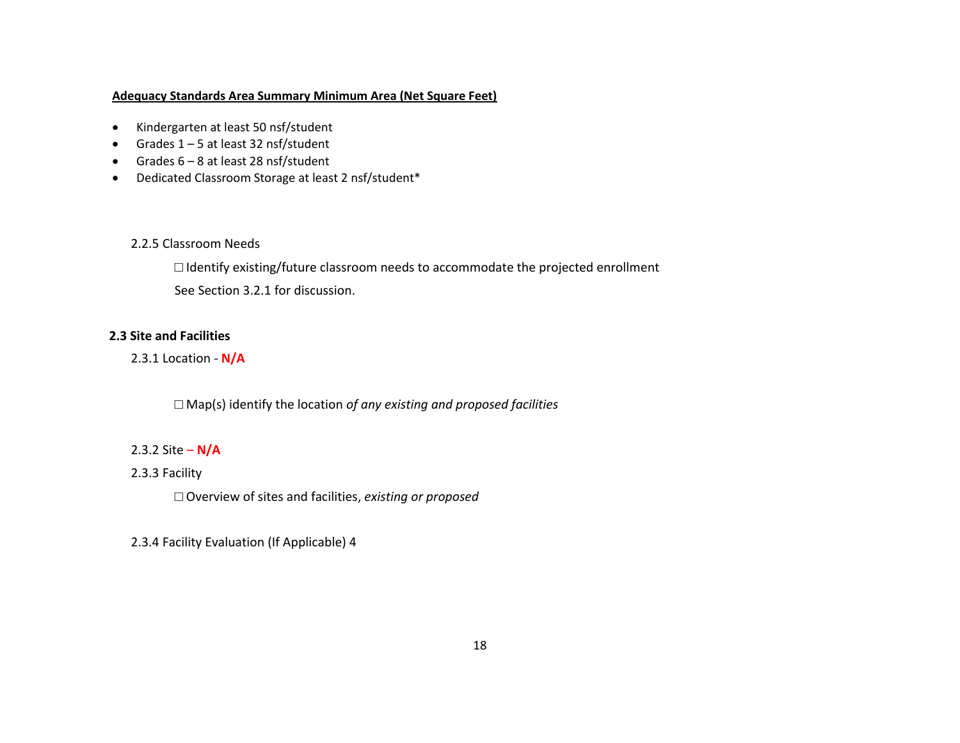# **Adequacy Standards Area Summary Minimum Area (Net Square Feet)**

- Kindergarten at least 50 nsf/student
- Grades  $1 5$  at least 32 nsf/student
- Grades  $6 8$  at least 28 nsf/student
- Dedicated Classroom Storage at least 2 nsf/student\*

# 2.2.5 Classroom Needs

□ Identify existing/future classroom needs to accommodate the projected enrollment See Section 3.2.1 for discussion.

# **2.3 Site and Facilities**

2.3.1 Location - **N/A**

□ Map(s) identify the location *of any existing and proposed facilities* 

# 2.3.2 Site – **N/A**

# 2.3.3 Facility

□ Overview of sites and facilities, *existing or proposed* 

2.3.4 Facility Evaluation (If Applicable) 4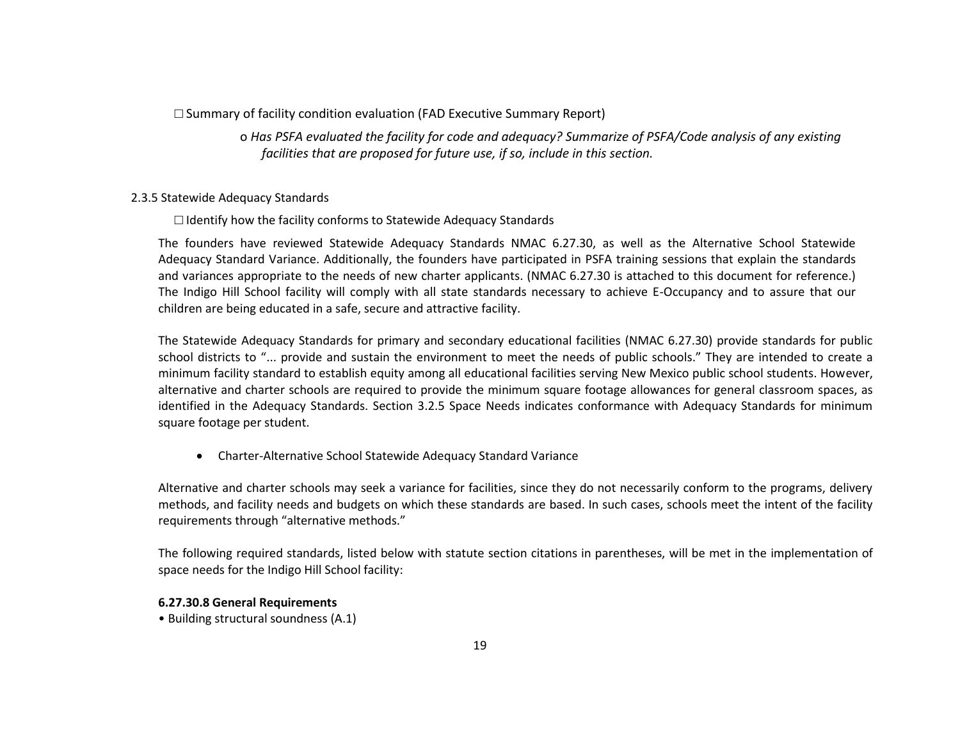## $\square$  Summary of facility condition evaluation (FAD Executive Summary Report)

o *Has PSFA evaluated the facility for code and adequacy? Summarize of PSFA/Code analysis of any existing facilities that are proposed for future use, if so, include in this section.* 

#### 2.3.5 Statewide Adequacy Standards

### **□** Identify how the facility conforms to Statewide Adequacy Standards

The founders have reviewed Statewide Adequacy Standards NMAC 6.27.30, as well as the Alternative School Statewide Adequacy Standard Variance. Additionally, the founders have participated in PSFA training sessions that explain the standards and variances appropriate to the needs of new charter applicants. (NMAC 6.27.30 is attached to this document for reference.) The Indigo Hill School facility will comply with all state standards necessary to achieve E-Occupancy and to assure that our children are being educated in a safe, secure and attractive facility.

The Statewide Adequacy Standards for primary and secondary educational facilities (NMAC 6.27.30) provide standards for public school districts to "... provide and sustain the environment to meet the needs of public schools." They are intended to create a minimum facility standard to establish equity among all educational facilities serving New Mexico public school students. However, alternative and charter schools are required to provide the minimum square footage allowances for general classroom spaces, as identified in the Adequacy Standards. Section 3.2.5 Space Needs indicates conformance with Adequacy Standards for minimum square footage per student.

Charter-Alternative School Statewide Adequacy Standard Variance

Alternative and charter schools may seek a variance for facilities, since they do not necessarily conform to the programs, delivery methods, and facility needs and budgets on which these standards are based. In such cases, schools meet the intent of the facility requirements through "alternative methods."

The following required standards, listed below with statute section citations in parentheses, will be met in the implementation of space needs for the Indigo Hill School facility:

#### **6.27.30.8 General Requirements**

• Building structural soundness (A.1)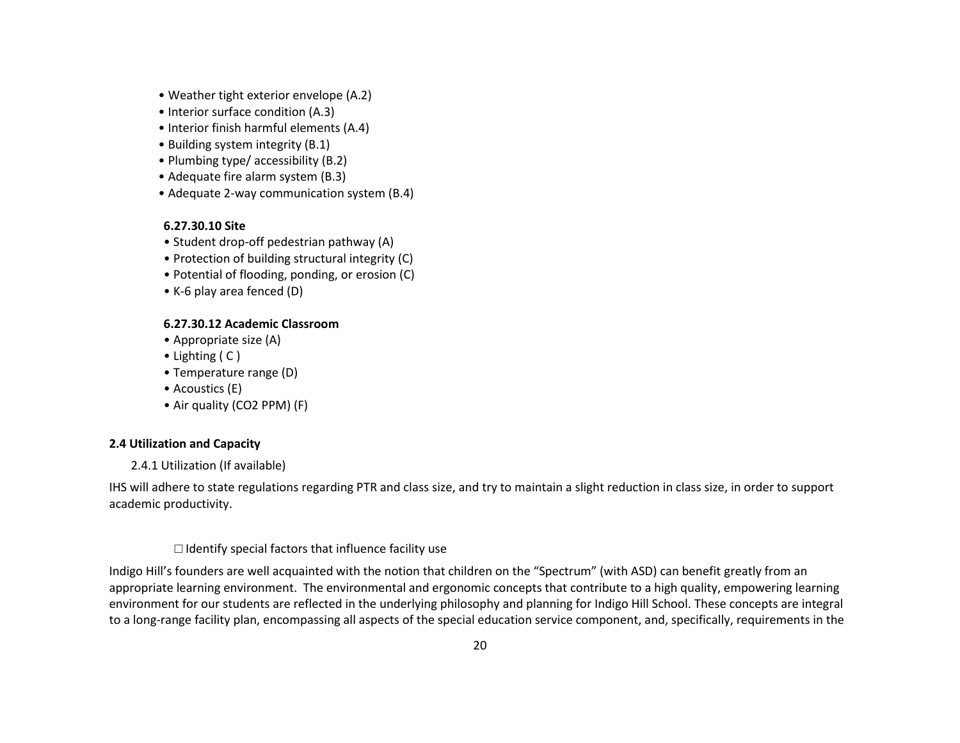- Weather tight exterior envelope (A.2)
- Interior surface condition (A.3)
- Interior finish harmful elements (A.4)
- Building system integrity (B.1)
- Plumbing type/ accessibility (B.2)
- Adequate fire alarm system (B.3)
- Adequate 2-way communication system (B.4)

## **6.27.30.10 Site**

- Student drop-off pedestrian pathway (A)
- Protection of building structural integrity (C)
- Potential of flooding, ponding, or erosion (C)
- K-6 play area fenced (D)

## **6.27.30.12 Academic Classroom**

- Appropriate size (A)
- Lighting ( C )
- Temperature range (D)
- Acoustics (E)
- Air quality (CO2 PPM) (F)

# **2.4 Utilization and Capacity**

2.4.1 Utilization (If available)

IHS will adhere to state regulations regarding PTR and class size, and try to maintain a slight reduction in class size, in order to support academic productivity.

## $\Box$  Identify special factors that influence facility use

Indigo Hill's founders are well acquainted with the notion that children on the "Spectrum" (with ASD) can benefit greatly from an appropriate learning environment. The environmental and ergonomic concepts that contribute to a high quality, empowering learning environment for our students are reflected in the underlying philosophy and planning for Indigo Hill School. These concepts are integral to a long-range facility plan, encompassing all aspects of the special education service component, and, specifically, requirements in the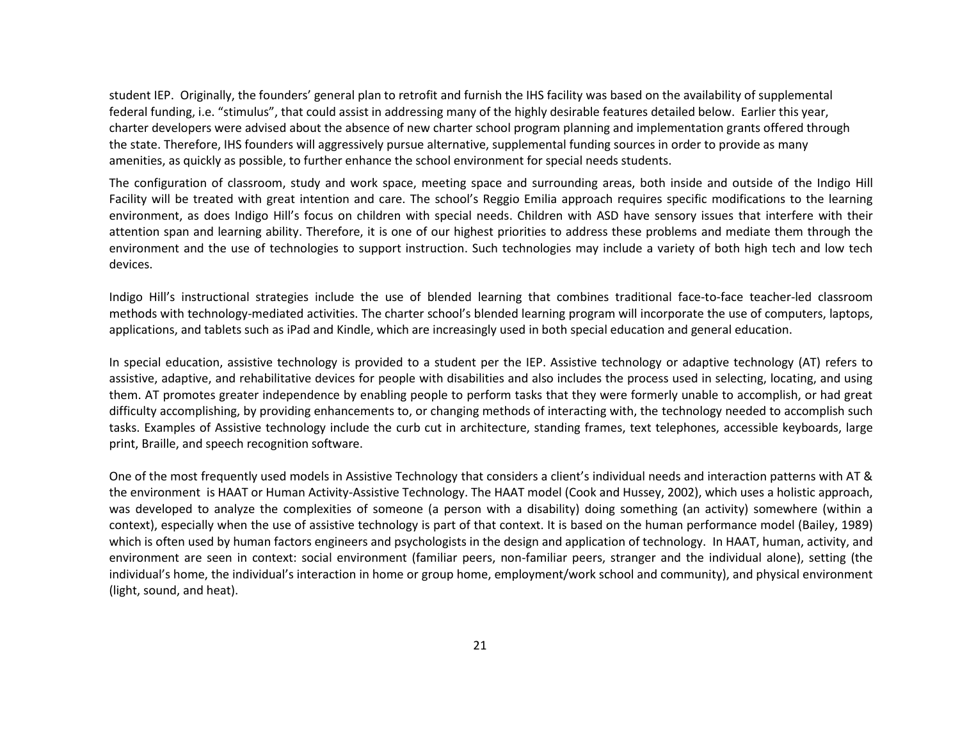student IEP. Originally, the founders' general plan to retrofit and furnish the IHS facility was based on the availability of supplemental federal funding, i.e. "stimulus", that could assist in addressing many of the highly desirable features detailed below. Earlier this year, charter developers were advised about the absence of new charter school program planning and implementation grants offered through the state. Therefore, IHS founders will aggressively pursue alternative, supplemental funding sources in order to provide as many amenities, as quickly as possible, to further enhance the school environment for special needs students.

The configuration of classroom, study and work space, meeting space and surrounding areas, both inside and outside of the Indigo Hill Facility will be treated with great intention and care. The school's Reggio Emilia approach requires specific modifications to the learning environment, as does Indigo Hill's focus on children with special needs. Children with ASD have sensory issues that interfere with their attention span and learning ability. Therefore, it is one of our highest priorities to address these problems and mediate them through the environment and the use of technologies to support instruction. Such technologies may include a variety of both high tech and low tech devices.

Indigo Hill's instructional strategies include the use of blended learning that combines traditional face-to-face teacher-led classroom methods with technology-mediated activities. The charter school's blended learning program will incorporate the use of computers, laptops, applications, and tablets such as iPad and Kindle, which are increasingly used in both special education and general education.

In special education, assistive technology is provided to a student per the IEP. Assistive technology or adaptive technology (AT) refers to assistive, adaptive, and rehabilitative devices for [people with disabilities](http://en.wikipedia.org/wiki/Disability) and also includes the process used in selecting, locating, and using them. AT promotes greater independence by enabling people to perform tasks that they were formerly unable to accomplish, or had great difficulty accomplishing, by providing enhancements to, or changing methods of interacting with, the [technology](http://en.wikipedia.org/wiki/Technology) needed to accomplish such tasks. Examples of Assistive technology include the [curb cut](http://en.wikipedia.org/wiki/Curb_cut) in architecture, [standing frames,](http://en.wikipedia.org/wiki/Standing_frames) text [telephones,](http://en.wikipedia.org/wiki/Telephones) accessible [keyboards,](http://en.wikipedia.org/wiki/Keyboard_(computing)) [large](http://en.wikipedia.org/wiki/Large_print)  [print,](http://en.wikipedia.org/wiki/Large_print) [Braille,](http://en.wikipedia.org/wiki/Braille) an[d speech recognition](http://en.wikipedia.org/wiki/Speech_recognition) [software.](http://en.wikipedia.org/wiki/Software)

One of the most frequently used models in Assistive Technology that considers a client's individual needs and interaction patterns with AT & the environment is HAAT or Human Activity-Assistive Technology. The HAAT model (Cook and Hussey, 2002), which uses a holistic approach, was developed to analyze the complexities of someone (a person with a disability) doing something (an activity) somewhere (within a context), especially when the use of assistive technology is part of that context. It is based on the human performance model (Bailey, 1989) which is often used by human factors engineers and psychologists in the design and application of technology. In HAAT, human, activity, and environment are seen in context: social environment (familiar peers, non-familiar peers, stranger and the individual alone), setting (the individual's home, the individual's interaction in home or group home, employment/work school and community), and physical environment (light, sound, and heat).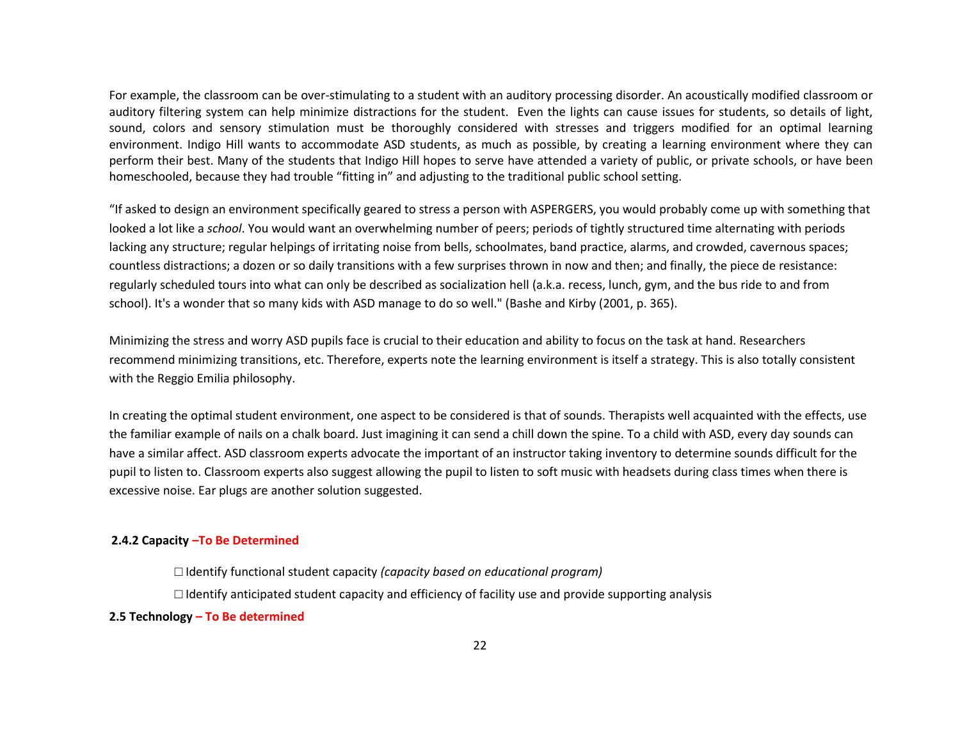For example, the classroom can be over-stimulating to a student with an auditory processing disorder. An acoustically modified classroom or auditory filtering system can help minimize distractions for the student. Even the lights can cause issues for students, so details of light, sound, colors and sensory stimulation must be thoroughly considered with stresses and triggers modified for an optimal learning environment. Indigo Hill wants to accommodate ASD students, as much as possible, by creating a learning environment where they can perform their best. Many of the students that Indigo Hill hopes to serve have attended a variety of public, or private schools, or have been homeschooled, because they had trouble "fitting in" and adjusting to the traditional public school setting.

"If asked to design an environment specifically geared to stress a person with ASPERGERS, you would probably come up with something that looked a lot like a *school*. You would want an overwhelming number of peers; periods of tightly structured time alternating with periods lacking any structure; regular helpings of irritating noise from bells, schoolmates, band practice, alarms, and crowded, cavernous spaces; countless distractions; a dozen or so daily transitions with a few surprises thrown in now and then; and finally, the piece de resistance: regularly scheduled tours into what can only be described as socialization hell (a.k.a. recess, lunch, gym, and the bus ride to and from school). It's a wonder that so many kids with ASD manage to do so well." (Bashe and Kirby (2001, p. 365).

Minimizing the stress and worry ASD pupils face is crucial to their education and ability to focus on the task at hand. Researchers recommend minimizing transitions, etc. Therefore, experts note the learning environment is itself a strategy. This is also totally consistent with the Reggio Emilia philosophy.

In creating the optimal student environment, one aspect to be considered is that of sounds. Therapists well acquainted with the effects, use the familiar example of nails on a chalk board. Just imagining it can send a chill down the spine. To a child with ASD, every day sounds can have a similar affect. ASD classroom experts advocate the important of an instructor taking inventory to determine sounds difficult for the pupil to listen to. Classroom experts also suggest allowing the pupil to listen to soft music with headsets during class times when there is excessive noise. Ear plugs are another solution suggested.

#### **2.4.2 Capacity –To Be Determined**

□ Identify functional student capacity *(capacity based on educational program)*   $\Box$  Identify anticipated student capacity and efficiency of facility use and provide supporting analysis

### **2.5 Technology – To Be determined**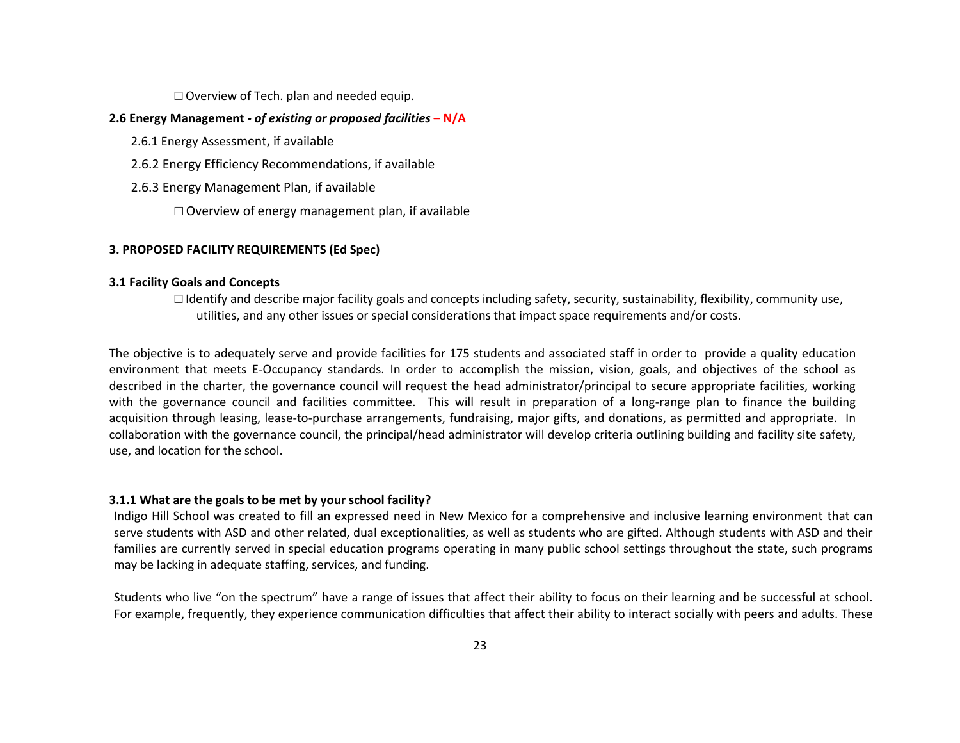$\Box$  Overview of Tech. plan and needed equip.

### **2.6 Energy Management** *- of existing or proposed facilities* **– N/A**

- 2.6.1 Energy Assessment, if available
- 2.6.2 Energy Efficiency Recommendations, if available
- 2.6.3 Energy Management Plan, if available
	- $\Box$  Overview of energy management plan, if available

### **3. PROPOSED FACILITY REQUIREMENTS (Ed Spec)**

#### **3.1 Facility Goals and Concepts**

 $\Box$  Identify and describe major facility goals and concepts including safety, security, sustainability, flexibility, community use, utilities, and any other issues or special considerations that impact space requirements and/or costs.

The objective is to adequately serve and provide facilities for 175 students and associated staff in order to provide a quality education environment that meets E-Occupancy standards. In order to accomplish the mission, vision, goals, and objectives of the school as described in the charter, the governance council will request the head administrator/principal to secure appropriate facilities, working with the governance council and facilities committee. This will result in preparation of a long-range plan to finance the building acquisition through leasing, lease-to-purchase arrangements, fundraising, major gifts, and donations, as permitted and appropriate. In collaboration with the governance council, the principal/head administrator will develop criteria outlining building and facility site safety, use, and location for the school.

### **3.1.1 What are the goals to be met by your school facility?**

Indigo Hill School was created to fill an expressed need in New Mexico for a comprehensive and inclusive learning environment that can serve students with ASD and other related, dual exceptionalities, as well as students who are gifted. Although students with ASD and their families are currently served in special education programs operating in many public school settings throughout the state, such programs may be lacking in adequate staffing, services, and funding.

Students who live "on the spectrum" have a range of issues that affect their ability to focus on their learning and be successful at school. For example, frequently, they experience communication difficulties that affect their ability to interact socially with peers and adults. These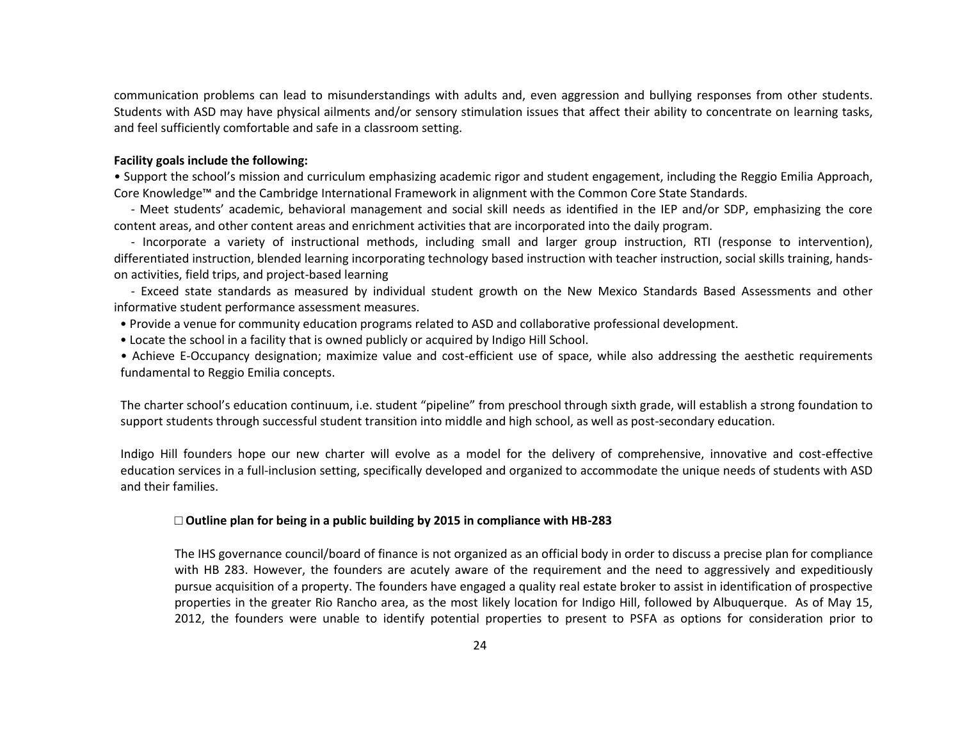communication problems can lead to misunderstandings with adults and, even aggression and bullying responses from other students. Students with ASD may have physical ailments and/or sensory stimulation issues that affect their ability to concentrate on learning tasks, and feel sufficiently comfortable and safe in a classroom setting.

#### **Facility goals include the following:**

• Support the school's mission and curriculum emphasizing academic rigor and student engagement, including the Reggio Emilia Approach, Core Knowledge™ and the Cambridge International Framework in alignment with the Common Core State Standards.

- Meet students' academic, behavioral management and social skill needs as identified in the IEP and/or SDP, emphasizing the core content areas, and other content areas and enrichment activities that are incorporated into the daily program.

- Incorporate a variety of instructional methods, including small and larger group instruction, RTI (response to intervention), differentiated instruction, blended learning incorporating technology based instruction with teacher instruction, social skills training, handson activities, field trips, and project-based learning

- Exceed state standards as measured by individual student growth on the New Mexico Standards Based Assessments and other informative student performance assessment measures.

• Provide a venue for community education programs related to ASD and collaborative professional development.

• Locate the school in a facility that is owned publicly or acquired by Indigo Hill School.

• Achieve E-Occupancy designation; maximize value and cost-efficient use of space, while also addressing the aesthetic requirements fundamental to Reggio Emilia concepts.

The charter school's education continuum, i.e. student "pipeline" from preschool through sixth grade, will establish a strong foundation to support students through successful student transition into middle and high school, as well as post-secondary education.

Indigo Hill founders hope our new charter will evolve as a model for the delivery of comprehensive, innovative and cost-effective education services in a full-inclusion setting, specifically developed and organized to accommodate the unique needs of students with ASD and their families.

#### **□ Outline plan for being in a public building by 2015 in compliance with HB-283**

The IHS governance council/board of finance is not organized as an official body in order to discuss a precise plan for compliance with HB 283. However, the founders are acutely aware of the requirement and the need to aggressively and expeditiously pursue acquisition of a property. The founders have engaged a quality real estate broker to assist in identification of prospective properties in the greater Rio Rancho area, as the most likely location for Indigo Hill, followed by Albuquerque. As of May 15, 2012, the founders were unable to identify potential properties to present to PSFA as options for consideration prior to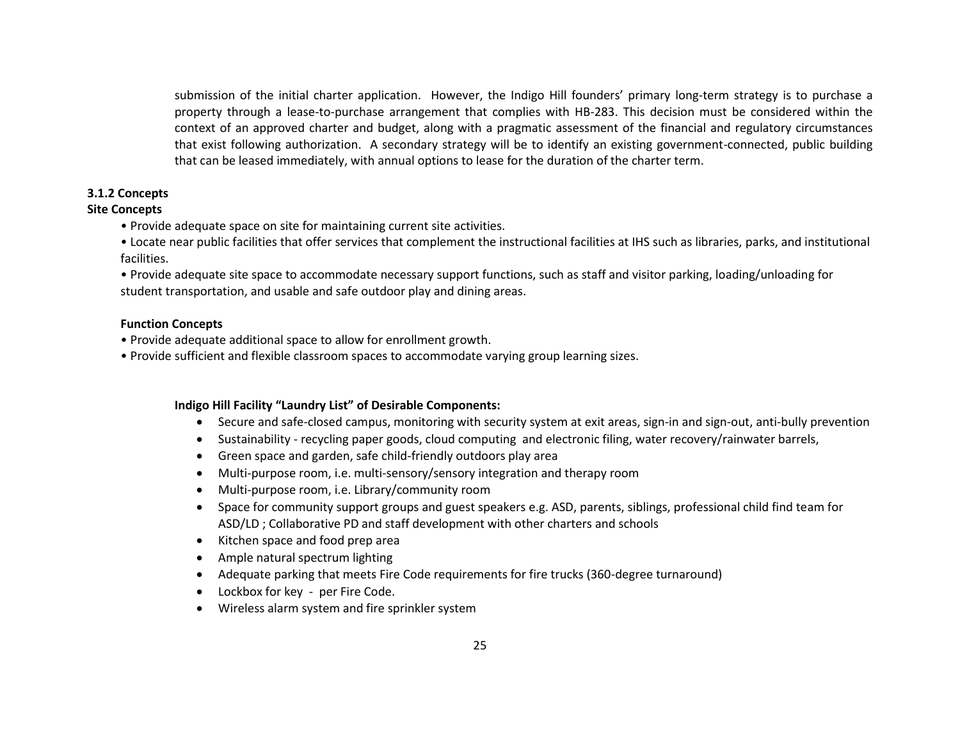submission of the initial charter application. However, the Indigo Hill founders' primary long-term strategy is to purchase a property through a lease-to-purchase arrangement that complies with HB-283. This decision must be considered within the context of an approved charter and budget, along with a pragmatic assessment of the financial and regulatory circumstances that exist following authorization. A secondary strategy will be to identify an existing government-connected, public building that can be leased immediately, with annual options to lease for the duration of the charter term.

## **3.1.2 Concepts**

### **Site Concepts**

- Provide adequate space on site for maintaining current site activities.
- Locate near public facilities that offer services that complement the instructional facilities at IHS such as libraries, parks, and institutional facilities.
- Provide adequate site space to accommodate necessary support functions, such as staff and visitor parking, loading/unloading for student transportation, and usable and safe outdoor play and dining areas.

### **Function Concepts**

- Provide adequate additional space to allow for enrollment growth.
- Provide sufficient and flexible classroom spaces to accommodate varying group learning sizes.

# **Indigo Hill Facility "Laundry List" of Desirable Components:**

- Secure and safe-closed campus, monitoring with security system at exit areas, sign-in and sign-out, anti-bully prevention
- Sustainability recycling paper goods, cloud computing and electronic filing, water recovery/rainwater barrels,
- Green space and garden, safe child-friendly outdoors play area
- Multi-purpose room, i.e. multi-sensory/sensory integration and therapy room
- Multi-purpose room, i.e. Library/community room
- Space for community support groups and guest speakers e.g. ASD, parents, siblings, professional child find team for ASD/LD ; Collaborative PD and staff development with other charters and schools
- Kitchen space and food prep area
- Ample natural spectrum lighting
- Adequate parking that meets Fire Code requirements for fire trucks (360-degree turnaround)
- Lockbox for key per Fire Code.
- Wireless alarm system and fire sprinkler system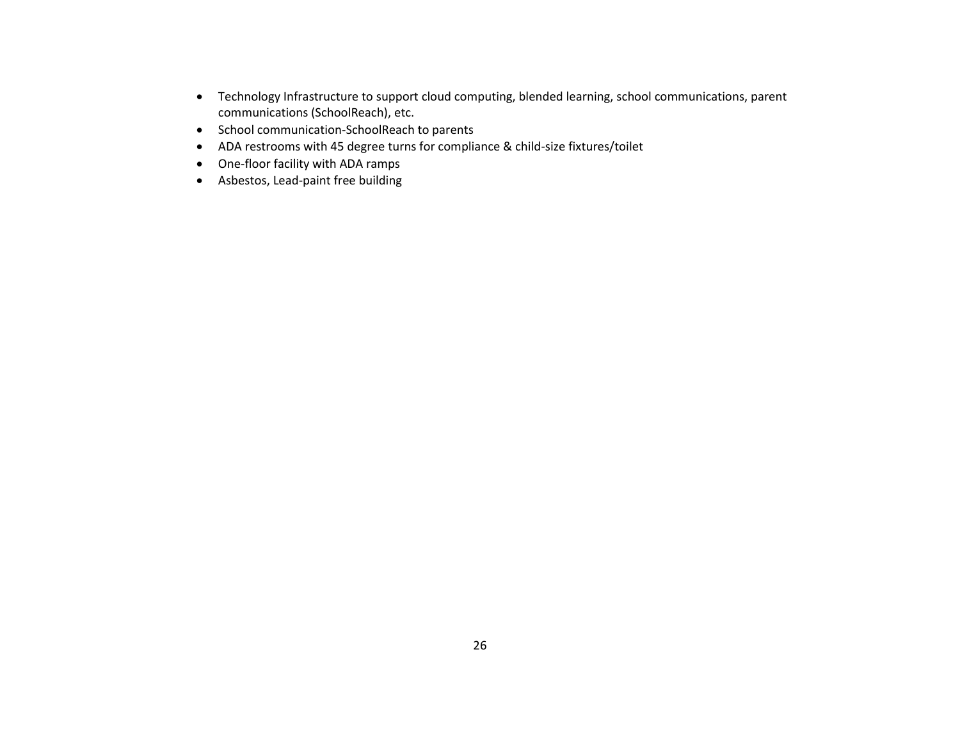- Technology Infrastructure to support cloud computing, blended learning, school communications, parent communications (SchoolReach), etc.
- School communication-SchoolReach to parents
- ADA restrooms with 45 degree turns for compliance & child-size fixtures/toilet
- One-floor facility with ADA ramps
- Asbestos, Lead-paint free building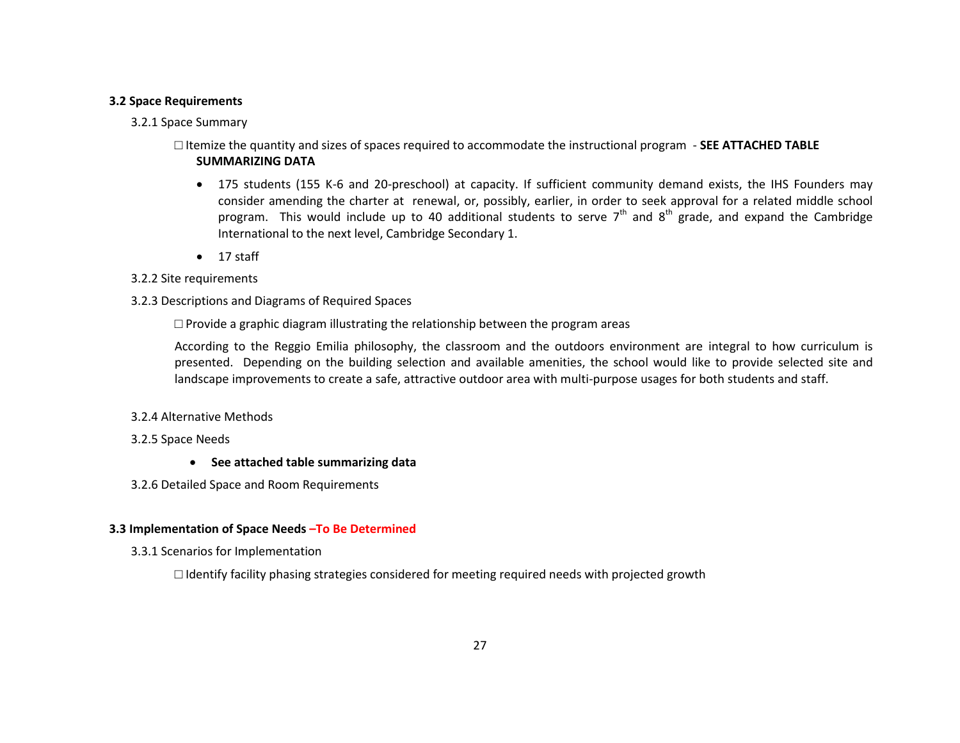### **3.2 Space Requirements**

## 3.2.1 Space Summary

# □ Itemize the quantity and sizes of spaces required to accommodate the instructional program - **SEE ATTACHED TABLE SUMMARIZING DATA**

- 175 students (155 K-6 and 20-preschool) at capacity. If sufficient community demand exists, the IHS Founders may consider amending the charter at renewal, or, possibly, earlier, in order to seek approval for a related middle school program. This would include up to 40 additional students to serve  $7<sup>th</sup>$  and  $8<sup>th</sup>$  grade, and expand the Cambridge International to the next level, Cambridge Secondary 1.
- $\bullet$  17 staff

### 3.2.2 Site requirements

## 3.2.3 Descriptions and Diagrams of Required Spaces

 $\square$  Provide a graphic diagram illustrating the relationship between the program areas

According to the Reggio Emilia philosophy, the classroom and the outdoors environment are integral to how curriculum is presented. Depending on the building selection and available amenities, the school would like to provide selected site and landscape improvements to create a safe, attractive outdoor area with multi-purpose usages for both students and staff.

## 3.2.4 Alternative Methods

## 3.2.5 Space Needs

- **See attached table summarizing data**
- 3.2.6 Detailed Space and Room Requirements

## **3.3 Implementation of Space Needs –To Be Determined**

3.3.1 Scenarios for Implementation

 $\Box$  Identify facility phasing strategies considered for meeting required needs with projected growth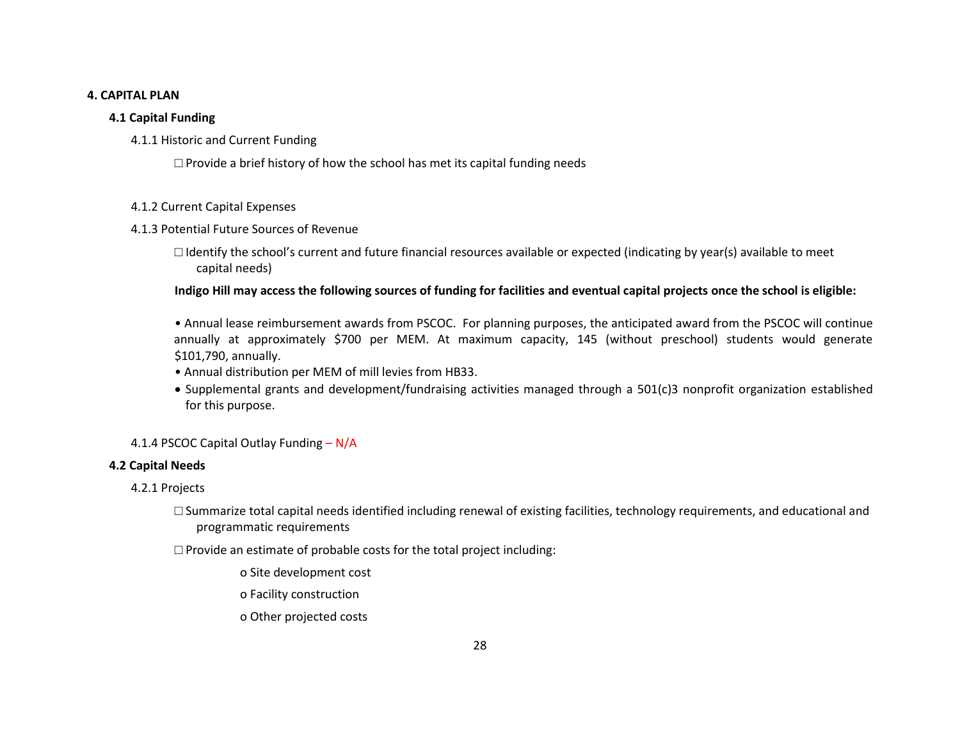### **4. CAPITAL PLAN**

## **4.1 Capital Funding**

# 4.1.1 Historic and Current Funding

 $\Box$  Provide a brief history of how the school has met its capital funding needs

## 4.1.2 Current Capital Expenses

# 4.1.3 Potential Future Sources of Revenue

□ Identify the school's current and future financial resources available or expected (indicating by year(s) available to meet capital needs)

# **Indigo Hill may access the following sources of funding for facilities and eventual capital projects once the school is eligible:**

• Annual lease reimbursement awards from PSCOC. For planning purposes, the anticipated award from the PSCOC will continue annually at approximately \$700 per MEM. At maximum capacity, 145 (without preschool) students would generate \$101,790, annually.

- Annual distribution per MEM of mill levies from HB33.
- Supplemental grants and development/fundraising activities managed through a 501(c)3 nonprofit organization established for this purpose.

# 4.1.4 PSCOC Capital Outlay Funding – N/A

# **4.2 Capital Needs**

# 4.2.1 Projects

 $\Box$  Summarize total capital needs identified including renewal of existing facilities, technology requirements, and educational and programmatic requirements

 $\Box$  Provide an estimate of probable costs for the total project including:

o Site development cost

o Facility construction

o Other projected costs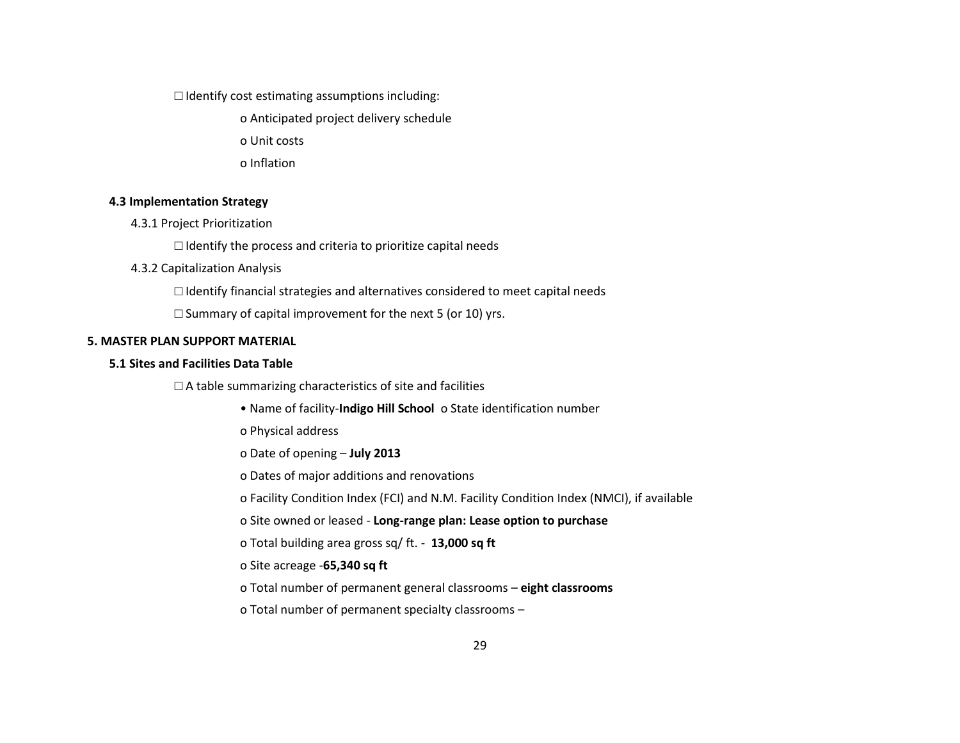$\Box$  Identify cost estimating assumptions including:

o Anticipated project delivery schedule

o Unit costs

o Inflation

#### **4.3 Implementation Strategy**

4.3.1 Project Prioritization

 $\Box$  Identify the process and criteria to prioritize capital needs

#### 4.3.2 Capitalization Analysis

 $\Box$  Identify financial strategies and alternatives considered to meet capital needs

 $\square$  Summary of capital improvement for the next 5 (or 10) yrs.

#### **5. MASTER PLAN SUPPORT MATERIAL**

### **5.1 Sites and Facilities Data Table**

 $\Box$  A table summarizing characteristics of site and facilities

- Name of facility-**Indigo Hill School** o State identification number
- o Physical address
- o Date of opening **July 2013**

o Dates of major additions and renovations

o Facility Condition Index (FCI) and N.M. Facility Condition Index (NMCI), if available

o Site owned or leased - **Long-range plan: Lease option to purchase** 

o Total building area gross sq/ ft. - **13,000 sq ft**

### o Site acreage -**65,340 sq ft**

o Total number of permanent general classrooms – **eight classrooms**

o Total number of permanent specialty classrooms –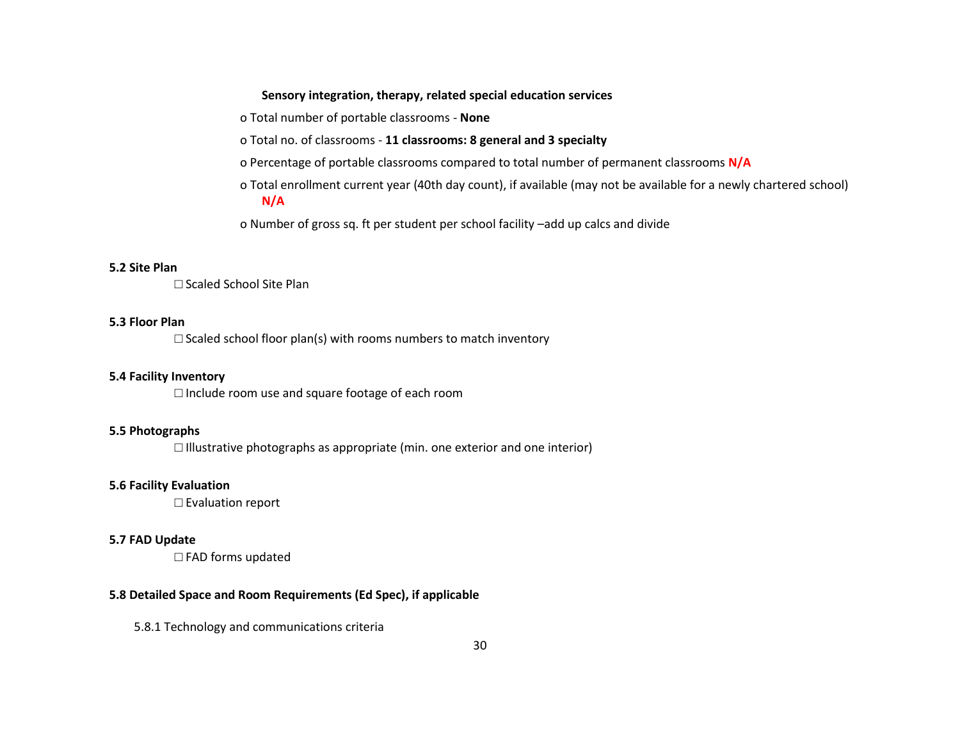### **Sensory integration, therapy, related special education services**

o Total number of portable classrooms - **None**

o Total no. of classrooms - **11 classrooms: 8 general and 3 specialty**

o Percentage of portable classrooms compared to total number of permanent classrooms **N/A**

o Total enrollment current year (40th day count), if available (may not be available for a newly chartered school) **N/A**

o Number of gross sq. ft per student per school facility –add up calcs and divide

#### **5.2 Site Plan**

□ Scaled School Site Plan

#### **5.3 Floor Plan**

 $\square$  Scaled school floor plan(s) with rooms numbers to match inventory

### **5.4 Facility Inventory**

□ Include room use and square footage of each room

# **5.5 Photographs**

 $\square$  Illustrative photographs as appropriate (min. one exterior and one interior)

### **5.6 Facility Evaluation**

□ Evaluation report

#### **5.7 FAD Update**

□ FAD forms updated

# **5.8 Detailed Space and Room Requirements (Ed Spec), if applicable**

5.8.1 Technology and communications criteria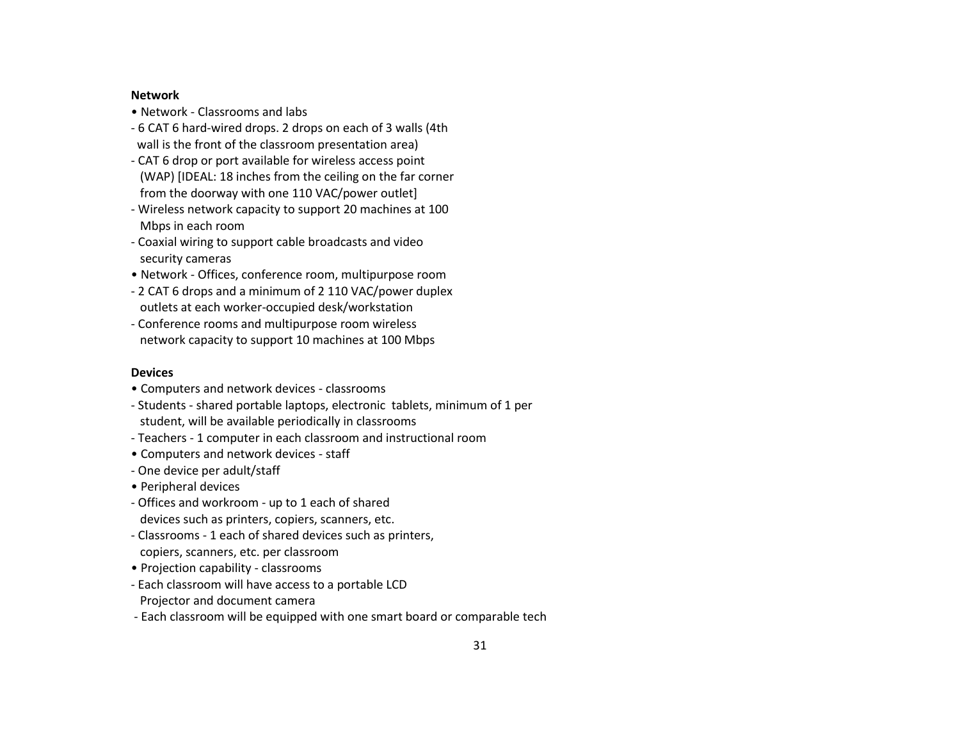#### **Network**

- Network Classrooms and labs
- 6 CAT 6 hard-wired drops. 2 drops on each of 3 walls (4th wall is the front of the classroom presentation area)
- CAT 6 drop or port available for wireless access point (WAP) [IDEAL: 18 inches from the ceiling on the far corner from the doorway with one 110 VAC/power outlet]
- Wireless network capacity to support 20 machines at 100 Mbps in each room
- Coaxial wiring to support cable broadcasts and video security cameras
- Network Offices, conference room, multipurpose room
- 2 CAT 6 drops and a minimum of 2 110 VAC/power duplex outlets at each worker-occupied desk/workstation
- Conference rooms and multipurpose room wireless network capacity to support 10 machines at 100 Mbps

## **Devices**

- Computers and network devices classrooms
- Students shared portable laptops, electronic tablets, minimum of 1 per student, will be available periodically in classrooms
- Teachers 1 computer in each classroom and instructional room
- Computers and network devices staff
- One device per adult/staff
- Peripheral devices
- Offices and workroom up to 1 each of shared devices such as printers, copiers, scanners, etc.
- Classrooms 1 each of shared devices such as printers, copiers, scanners, etc. per classroom
- Projection capability classrooms
- Each classroom will have access to a portable LCD Projector and document camera
- Each classroom will be equipped with one smart board or comparable tech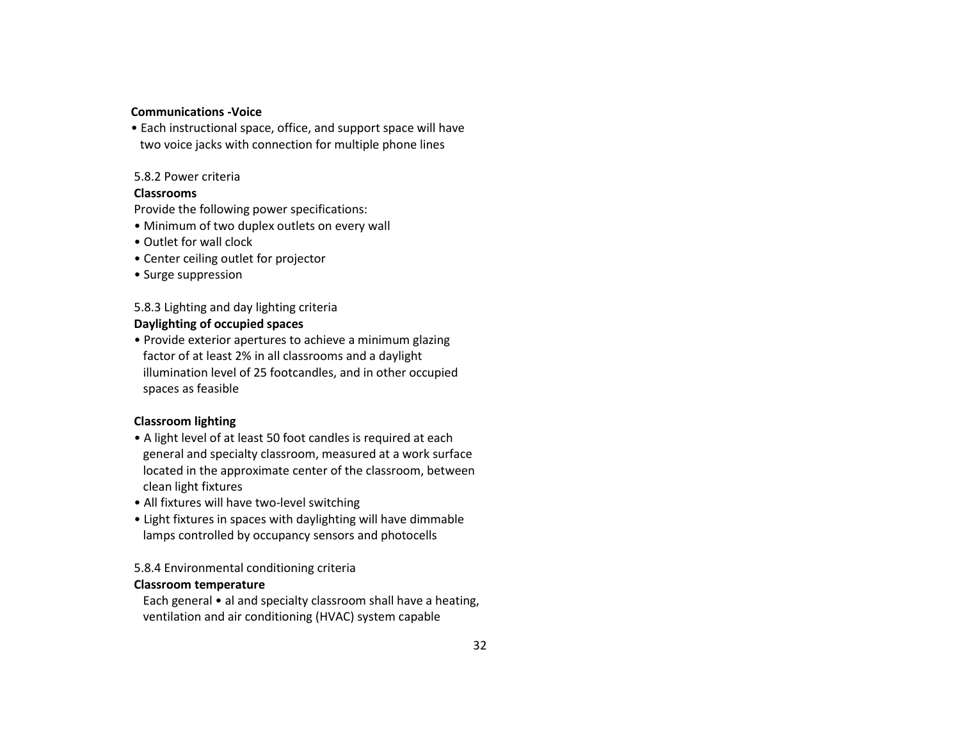#### **Communications -Voice**

• Each instructional space, office, and support space will have two voice jacks with connection for multiple phone lines

#### 5.8.2 Power criteria

### **Classrooms**

Provide the following power specifications:

- Minimum of two duplex outlets on every wall
- Outlet for wall clock
- Center ceiling outlet for projector
- Surge suppression

## 5.8.3 Lighting and day lighting criteria

## **Daylighting of occupied spaces**

• Provide exterior apertures to achieve a minimum glazing factor of at least 2% in all classrooms and a daylight illumination level of 25 footcandles, and in other occupied spaces as feasible

# **Classroom lighting**

- A light level of at least 50 foot candles is required at each general and specialty classroom, measured at a work surface located in the approximate center of the classroom, between clean light fixtures
- All fixtures will have two-level switching
- Light fixtures in spaces with daylighting will have dimmable lamps controlled by occupancy sensors and photocells

## 5.8.4 Environmental conditioning criteria

### **Classroom temperature**

 Each general • al and specialty classroom shall have a heating, ventilation and air conditioning (HVAC) system capable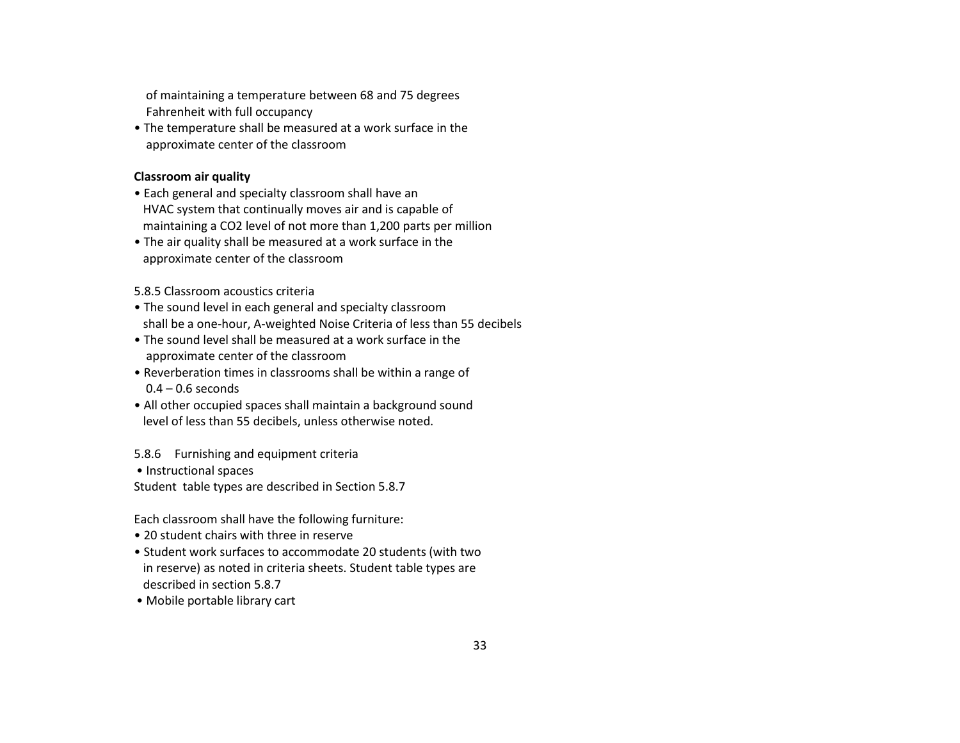of maintaining a temperature between 68 and 75 degrees Fahrenheit with full occupancy

• The temperature shall be measured at a work surface in the approximate center of the classroom

# **Classroom air quality**

- Each general and specialty classroom shall have an HVAC system that continually moves air and is capable of maintaining a CO2 level of not more than 1,200 parts per million
- The air quality shall be measured at a work surface in the approximate center of the classroom

5.8.5 Classroom acoustics criteria

- The sound level in each general and specialty classroom shall be a one-hour, A-weighted Noise Criteria of less than 55 decibels
- The sound level shall be measured at a work surface in the approximate center of the classroom
- Reverberation times in classrooms shall be within a range of  $0.4 - 0.6$  seconds
- All other occupied spaces shall maintain a background sound level of less than 55 decibels, unless otherwise noted.

5.8.6 Furnishing and equipment criteria

• Instructional spaces

Student table types are described in Section 5.8.7

Each classroom shall have the following furniture:

- 20 student chairs with three in reserve
- Student work surfaces to accommodate 20 students (with two in reserve) as noted in criteria sheets. Student table types are described in section 5.8.7
- Mobile portable library cart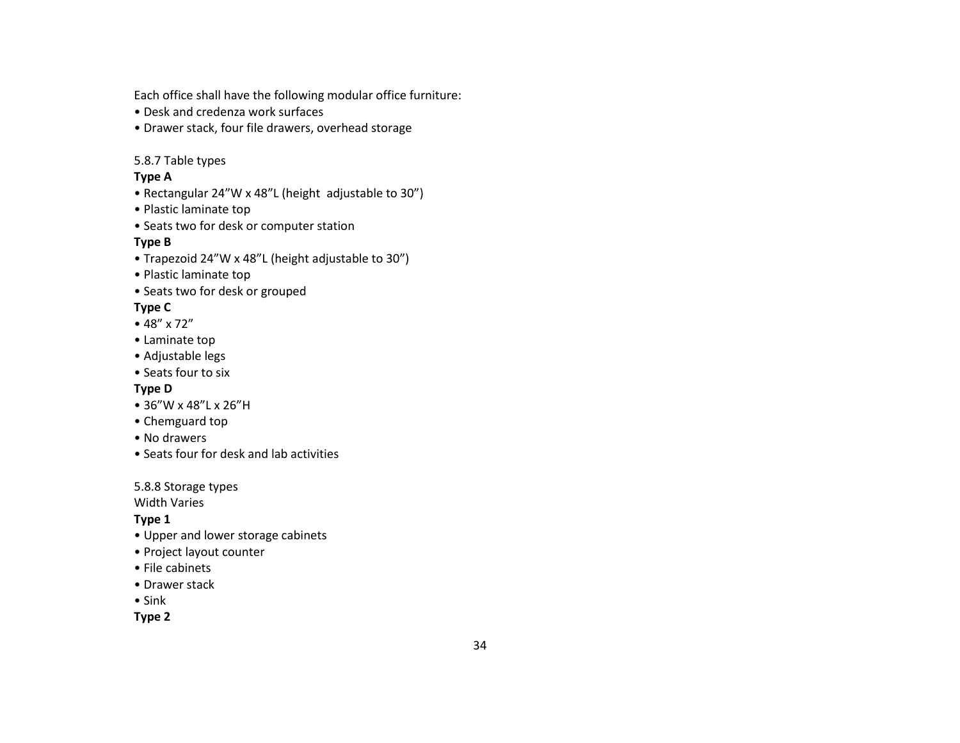Each office shall have the following modular office furniture:

- Desk and credenza work surfaces
- Drawer stack, four file drawers, overhead storage

# 5.8.7 Table types

# **Type A**

- Rectangular 24"W x 48"L (height adjustable to 30")
- Plastic laminate top
- Seats two for desk or computer station

# **Type B**

- Trapezoid 24"W x 48"L (height adjustable to 30")
- Plastic laminate top
- Seats two for desk or grouped

# **Type C**

- 48" x 72"
- Laminate top
- Adjustable legs
- Seats four to six

# **Type D**

- 36"W x 48"L x 26"H
- Chemguard top
- No drawers
- Seats four for desk and lab activities

5.8.8 Storage types

Width Varies

# **Type 1**

- Upper and lower storage cabinets
- Project layout counter
- File cabinets
- Drawer stack
- Sink

**Type 2**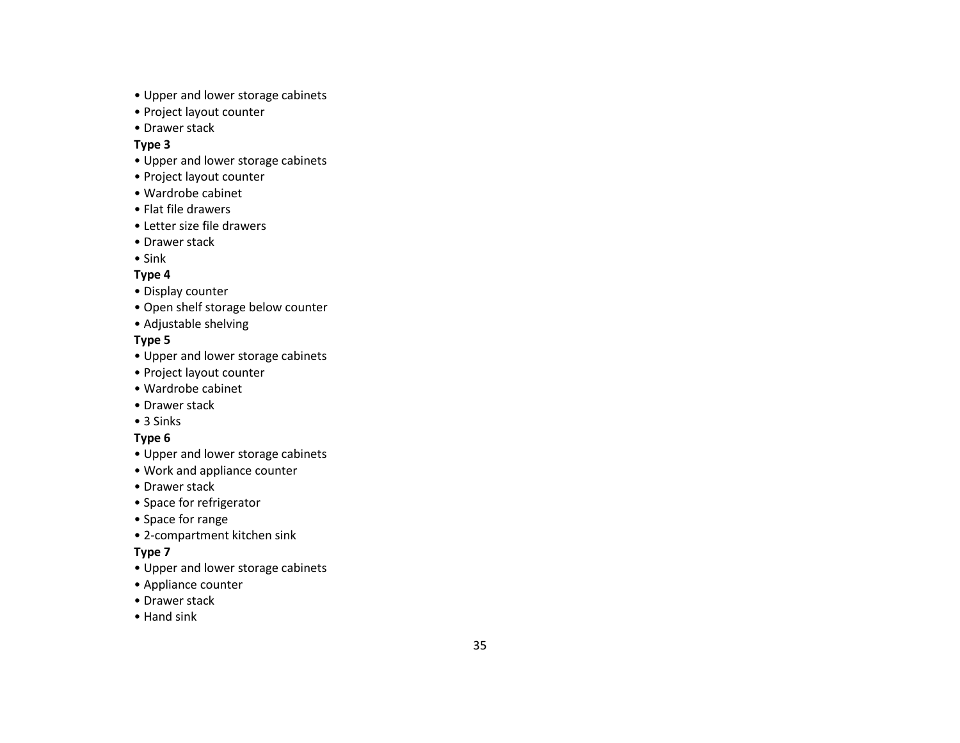- Upper and lower storage cabinets
- Project layout counter
- Drawer stack

## **Type 3**

- Upper and lower storage cabinets
- Project layout counter
- Wardrobe cabinet
- Flat file drawers
- Letter size file drawers
- Drawer stack
- Sink

# **Type 4**

- Display counter
- Open shelf storage below counter
- Adjustable shelving

# **Type 5**

- Upper and lower storage cabinets
- Project layout counter
- Wardrobe cabinet
- Drawer stack
- 3 Sinks

# **Type 6**

- Upper and lower storage cabinets
- Work and appliance counter
- Drawer stack
- Space for refrigerator
- Space for range
- 2 -compartment kitchen sink

# **Type 7**

- Upper and lower storage cabinets
- Appliance counter
- Drawer stack
- Hand sink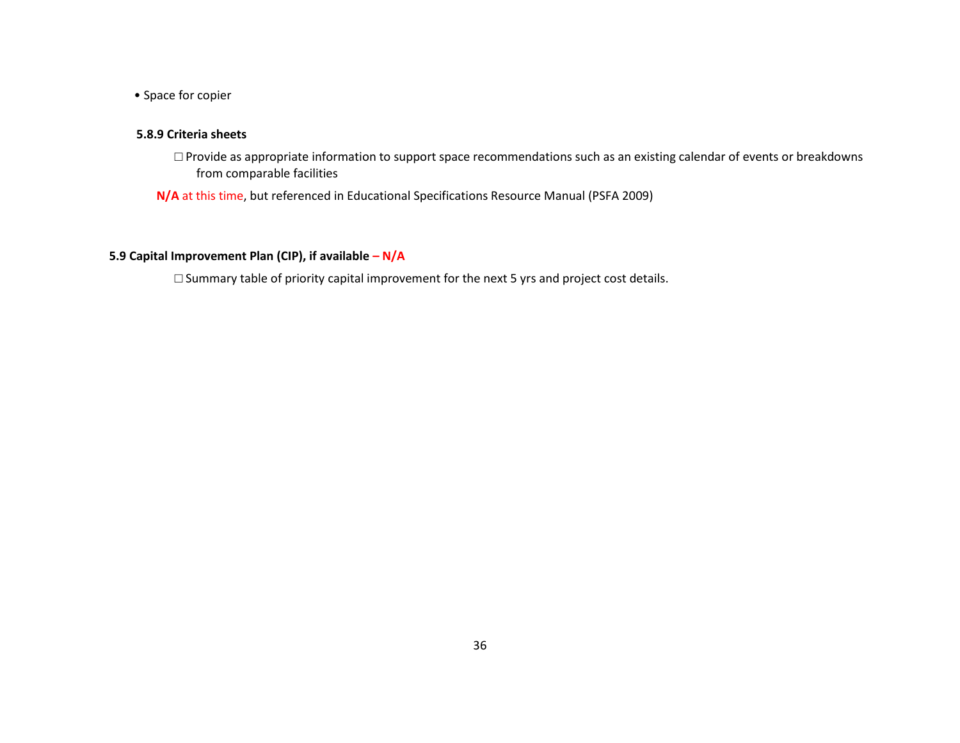• Space for copier

## **5.8.9 Criteria sheets**

□ Provide as appropriate information to support space recommendations such as an existing calendar of events or breakdowns from comparable facilities

**N/A** at this time, but referenced in Educational Specifications Resource Manual (PSFA 2009)

## **5.9 Capital Improvement Plan (CIP), if available – N/A**

□ Summary table of priority capital improvement for the next 5 yrs and project cost details.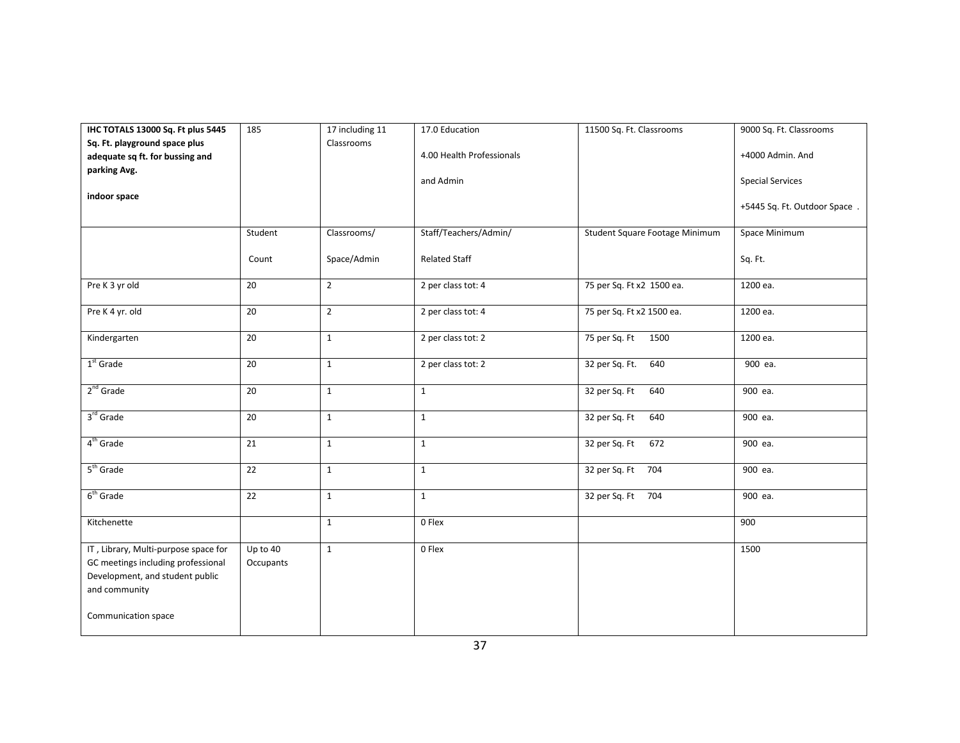| IHC TOTALS 13000 Sq. Ft plus 5445                                                                                                                     | 185                   | 17 including 11 | 17.0 Education            | 11500 Sq. Ft. Classrooms       | 9000 Sq. Ft. Classrooms      |
|-------------------------------------------------------------------------------------------------------------------------------------------------------|-----------------------|-----------------|---------------------------|--------------------------------|------------------------------|
| Sq. Ft. playground space plus                                                                                                                         |                       | Classrooms      |                           |                                |                              |
| adequate sq ft. for bussing and                                                                                                                       |                       |                 | 4.00 Health Professionals |                                | +4000 Admin. And             |
| parking Avg.                                                                                                                                          |                       |                 | and Admin                 |                                | <b>Special Services</b>      |
| indoor space                                                                                                                                          |                       |                 |                           |                                | +5445 Sq. Ft. Outdoor Space. |
|                                                                                                                                                       | Student               | Classrooms/     | Staff/Teachers/Admin/     | Student Square Footage Minimum | Space Minimum                |
|                                                                                                                                                       | Count                 | Space/Admin     | <b>Related Staff</b>      |                                | Sq. Ft.                      |
| Pre K 3 yr old                                                                                                                                        | 20                    | $\overline{2}$  | 2 per class tot: 4        | 75 per Sq. Ft x2 1500 ea.      | 1200 ea.                     |
| Pre K 4 yr. old                                                                                                                                       | 20                    | $\overline{2}$  | 2 per class tot: 4        | 75 per Sq. Ft x2 1500 ea.      | 1200 ea.                     |
| Kindergarten                                                                                                                                          | 20                    | $\mathbf{1}$    | 2 per class tot: 2        | 75 per Sq. Ft<br>1500          | 1200 ea.                     |
| $1st$ Grade                                                                                                                                           | 20                    | $\mathbf{1}$    | 2 per class tot: 2        | 32 per Sq. Ft.<br>640          | 900 ea.                      |
| $2nd$ Grade                                                                                                                                           | 20                    | $\mathbf{1}$    | $\mathbf{1}$              | 32 per Sq. Ft<br>640           | 900 ea.                      |
| 3rd Grade                                                                                                                                             | 20                    | $\mathbf{1}$    | $\mathbf{1}$              | 32 per Sq. Ft<br>640           | 900 ea.                      |
| 4 <sup>th</sup> Grade                                                                                                                                 | 21                    | $\mathbf{1}$    | $\mathbf{1}$              | 32 per Sq. Ft<br>672           | 900 ea.                      |
| $5th$ Grade                                                                                                                                           | 22                    | $\mathbf{1}$    | $1\,$                     | 32 per Sq. Ft 704              | 900 ea.                      |
| $6th$ Grade                                                                                                                                           | 22                    | $\mathbf 1$     | $\mathbf{1}$              | 32 per Sq. Ft 704              | 900 ea.                      |
| Kitchenette                                                                                                                                           |                       | $\mathbf{1}$    | 0 Flex                    |                                | 900                          |
| IT, Library, Multi-purpose space for<br>GC meetings including professional<br>Development, and student public<br>and community<br>Communication space | Up to 40<br>Occupants | $\mathbf{1}$    | 0 Flex                    |                                | 1500                         |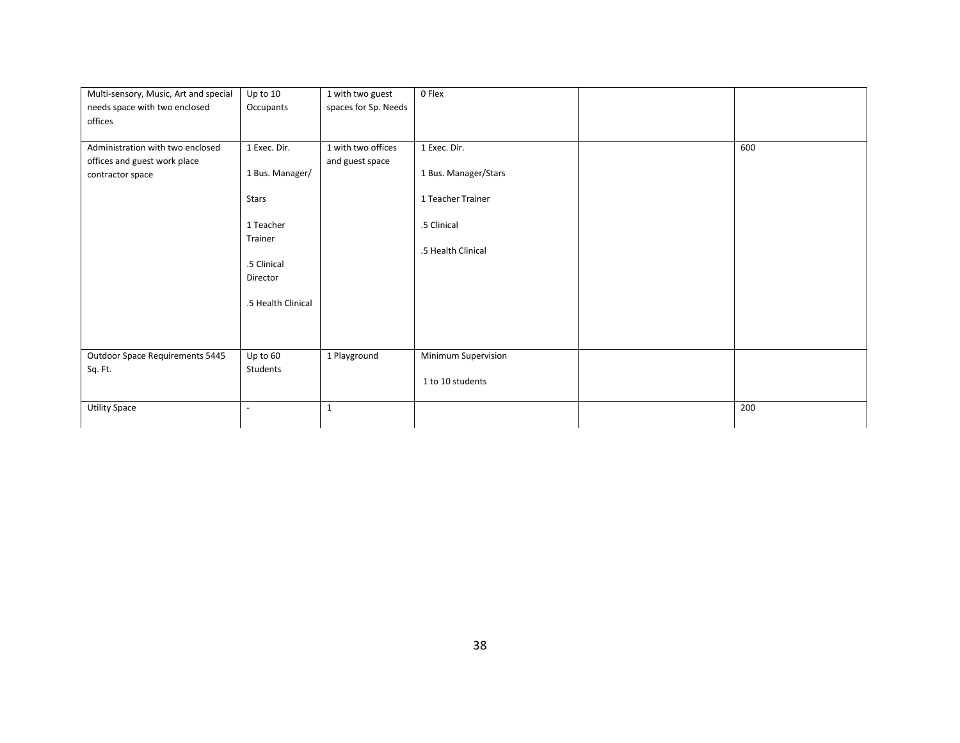| Multi-sensory, Music, Art and special                            | Up to 10                 | 1 with two guest                      | 0 Flex               |     |
|------------------------------------------------------------------|--------------------------|---------------------------------------|----------------------|-----|
| needs space with two enclosed<br>offices                         | Occupants                | spaces for Sp. Needs                  |                      |     |
| Administration with two enclosed<br>offices and guest work place | 1 Exec. Dir.             | 1 with two offices<br>and guest space | 1 Exec. Dir.         | 600 |
| contractor space                                                 | 1 Bus. Manager/          |                                       | 1 Bus. Manager/Stars |     |
|                                                                  | Stars                    |                                       | 1 Teacher Trainer    |     |
|                                                                  | 1 Teacher                |                                       | .5 Clinical          |     |
|                                                                  | Trainer                  |                                       | .5 Health Clinical   |     |
|                                                                  | .5 Clinical              |                                       |                      |     |
|                                                                  | Director                 |                                       |                      |     |
|                                                                  | .5 Health Clinical       |                                       |                      |     |
|                                                                  |                          |                                       |                      |     |
| Outdoor Space Requirements 5445                                  | Up to 60                 | 1 Playground                          | Minimum Supervision  |     |
| Sq. Ft.                                                          | Students                 |                                       | 1 to 10 students     |     |
| <b>Utility Space</b>                                             | $\overline{\phantom{a}}$ | 1                                     |                      | 200 |